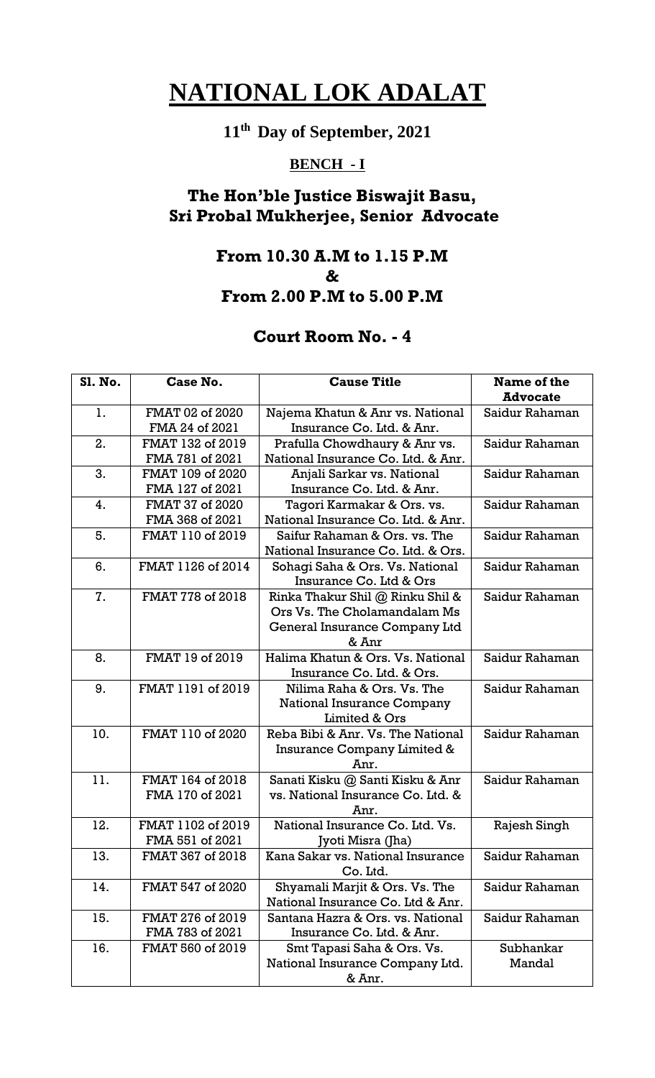# **11th Day of September, 2021**

## **BENCH - I**

## **The Hon'ble Justice Biswajit Basu, Sri Probal Mukherjee, Senior Advocate**

#### **From 10.30 A.M to 1.15 P.M & From 2.00 P.M to 5.00 P.M**

| <b>S1. No.</b> | Case No.                             | <b>Cause Title</b>                                                                                         | Name of the<br><b>Advocate</b> |
|----------------|--------------------------------------|------------------------------------------------------------------------------------------------------------|--------------------------------|
| 1.             | FMAT 02 of 2020<br>FMA 24 of 2021    | Najema Khatun & Anr vs. National<br>Insurance Co. Ltd. & Anr.                                              | Saidur Rahaman                 |
| 2.             | FMAT 132 of 2019<br>FMA 781 of 2021  | Prafulla Chowdhaury & Anr vs.<br>National Insurance Co. Ltd. & Anr.                                        | Saidur Rahaman                 |
| 3.             | FMAT 109 of 2020<br>FMA 127 of 2021  | Anjali Sarkar vs. National<br>Insurance Co. Ltd. & Anr.                                                    | Saidur Rahaman                 |
| 4.             | FMAT 37 of 2020<br>FMA 368 of 2021   | Tagori Karmakar & Ors. vs.<br>National Insurance Co. Ltd. & Anr.                                           | Saidur Rahaman                 |
| 5.             | FMAT 110 of 2019                     | Saifur Rahaman & Ors. vs. The<br>National Insurance Co. Ltd. & Ors.                                        | Saidur Rahaman                 |
| 6.             | FMAT 1126 of 2014                    | Sohagi Saha & Ors. Vs. National<br>Insurance Co. Ltd & Ors                                                 | Saidur Rahaman                 |
| 7.             | FMAT 778 of 2018                     | Rinka Thakur Shil @ Rinku Shil &<br>Ors Vs. The Cholamandalam Ms<br>General Insurance Company Ltd<br>& Anr | Saidur Rahaman                 |
| 8.             | FMAT 19 of 2019                      | Halima Khatun & Ors. Vs. National<br>Insurance Co. Ltd. & Ors.                                             | Saidur Rahaman                 |
| 9.             | FMAT 1191 of 2019                    | Nilima Raha & Ors. Vs. The<br><b>National Insurance Company</b><br>Limited & Ors                           | Saidur Rahaman                 |
| 10.            | FMAT 110 of 2020                     | Reba Bibi & Anr. Vs. The National<br>Insurance Company Limited &<br>Anr.                                   | Saidur Rahaman                 |
| 11.            | FMAT 164 of 2018<br>FMA 170 of 2021  | Sanati Kisku @ Santi Kisku & Anr<br>vs. National Insurance Co. Ltd. &<br>Anr.                              | Saidur Rahaman                 |
| 12.            | FMAT 1102 of 2019<br>FMA 551 of 2021 | National Insurance Co. Ltd. Vs.<br>Jyoti Misra (Jha)                                                       | Rajesh Singh                   |
| 13.            | FMAT 367 of 2018                     | Kana Sakar vs. National Insurance<br>Co. Ltd.                                                              | Saidur Rahaman                 |
| 14.            | FMAT 547 of 2020                     | Shyamali Marjit & Ors. Vs. The<br>National Insurance Co. Ltd & Anr.                                        | Saidur Rahaman                 |
| 15.            | FMAT 276 of 2019<br>FMA 783 of 2021  | Santana Hazra & Ors. vs. National<br>Insurance Co. Ltd. & Anr.                                             | Saidur Rahaman                 |
| 16.            | FMAT 560 of 2019                     | Smt Tapasi Saha & Ors. Vs.<br>National Insurance Company Ltd.<br>& Anr.                                    | Subhankar<br>Mandal            |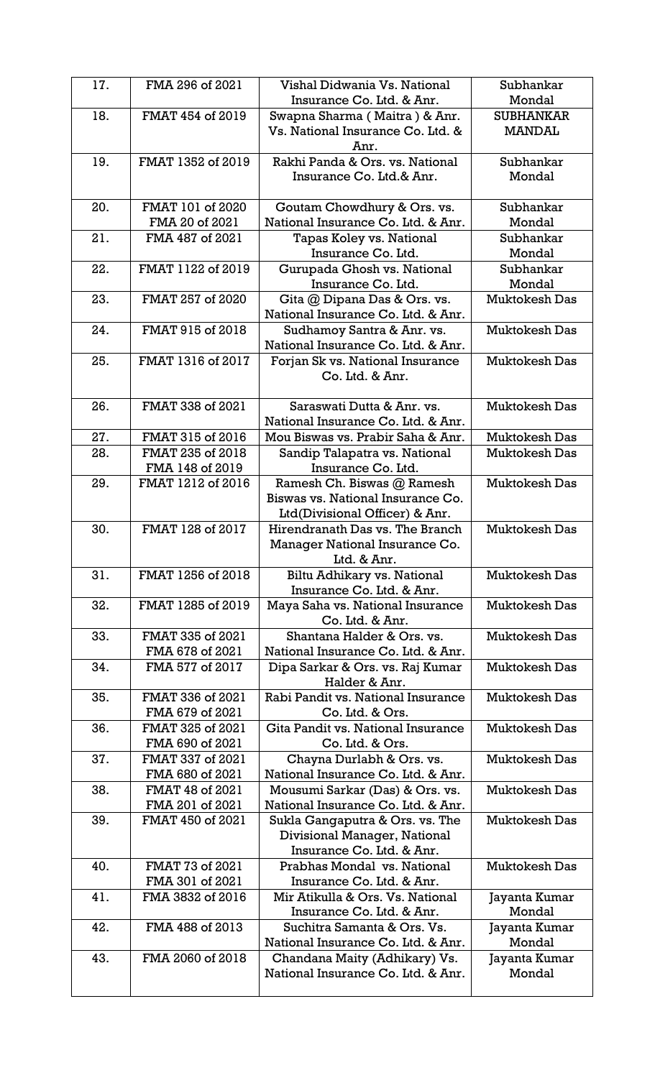| 17. | FMA 296 of 2021                     | Vishal Didwania Vs. National                                      | Subhankar            |
|-----|-------------------------------------|-------------------------------------------------------------------|----------------------|
|     |                                     | Insurance Co. Ltd. & Anr.                                         | Mondal               |
| 18. | FMAT 454 of 2019                    | Swapna Sharma (Maitra) & Anr.                                     | <b>SUBHANKAR</b>     |
|     |                                     | Vs. National Insurance Co. Ltd. &                                 | <b>MANDAL</b>        |
|     |                                     | Anr.                                                              |                      |
| 19. | FMAT 1352 of 2019                   | Rakhi Panda & Ors. vs. National                                   | Subhankar            |
|     |                                     | Insurance Co. Ltd.& Anr.                                          | Mondal               |
| 20. | FMAT 101 of 2020                    |                                                                   | Subhankar            |
|     | FMA 20 of 2021                      | Goutam Chowdhury & Ors. vs.<br>National Insurance Co. Ltd. & Anr. | Mondal               |
| 21. | FMA 487 of 2021                     | Tapas Koley vs. National                                          | Subhankar            |
|     |                                     | Insurance Co. Ltd.                                                | Mondal               |
| 22. | FMAT 1122 of 2019                   | Gurupada Ghosh vs. National                                       | Subhankar            |
|     |                                     | Insurance Co. Ltd.                                                | Mondal               |
| 23. | FMAT 257 of 2020                    | Gita @ Dipana Das & Ors. vs.                                      | <b>Muktokesh Das</b> |
|     |                                     | National Insurance Co. Ltd. & Anr.                                |                      |
| 24. | FMAT 915 of 2018                    | Sudhamoy Santra & Anr. vs.                                        | <b>Muktokesh Das</b> |
|     |                                     | National Insurance Co. Ltd. & Anr.                                |                      |
| 25. | FMAT 1316 of 2017                   | Forjan Sk vs. National Insurance                                  | <b>Muktokesh Das</b> |
|     |                                     | Co. Ltd. & Anr.                                                   |                      |
|     |                                     |                                                                   |                      |
| 26. | FMAT 338 of 2021                    | Saraswati Dutta & Anr. vs.                                        | <b>Muktokesh Das</b> |
|     |                                     | National Insurance Co. Ltd. & Anr.                                |                      |
| 27. | FMAT 315 of 2016                    | Mou Biswas vs. Prabir Saha & Anr.                                 | <b>Muktokesh Das</b> |
| 28. | FMAT 235 of 2018                    | Sandip Talapatra vs. National                                     | <b>Muktokesh Das</b> |
|     | FMA 148 of 2019                     | Insurance Co. Ltd.                                                |                      |
| 29. | FMAT 1212 of 2016                   | Ramesh Ch. Biswas @ Ramesh                                        | <b>Muktokesh Das</b> |
|     |                                     | Biswas vs. National Insurance Co.                                 |                      |
| 30. | FMAT 128 of 2017                    | Ltd(Divisional Officer) & Anr.<br>Hirendranath Das vs. The Branch | <b>Muktokesh Das</b> |
|     |                                     | Manager National Insurance Co.                                    |                      |
|     |                                     | Ltd. & Anr.                                                       |                      |
| 31. | FMAT 1256 of 2018                   | Biltu Adhikary vs. National                                       | <b>Muktokesh Das</b> |
|     |                                     | Insurance Co. Ltd. & Anr.                                         |                      |
| 32. | FMAT 1285 of 2019                   | Maya Saha vs. National Insurance                                  | <b>Muktokesh Das</b> |
|     |                                     | Co. Ltd. & Anr.                                                   |                      |
| 33. | FMAT 335 of 2021                    | Shantana Halder & Ors. vs.                                        | <b>Muktokesh Das</b> |
|     | FMA 678 of 2021                     | National Insurance Co. Ltd. & Anr.                                |                      |
| 34. | FMA 577 of 2017                     | Dipa Sarkar & Ors. vs. Raj Kumar                                  | <b>Muktokesh Das</b> |
|     |                                     | Halder & Anr.                                                     |                      |
| 35. | FMAT 336 of 2021                    | Rabi Pandit vs. National Insurance                                | <b>Muktokesh Das</b> |
|     | FMA 679 of 2021                     | Co. Ltd. & Ors.                                                   |                      |
| 36. | FMAT 325 of 2021                    | Gita Pandit vs. National Insurance                                | <b>Muktokesh Das</b> |
|     | FMA 690 of 2021                     | Co. Ltd. & Ors.                                                   |                      |
| 37. | FMAT 337 of 2021<br>FMA 680 of 2021 | Chayna Durlabh & Ors. vs.<br>National Insurance Co. Ltd. & Anr.   | <b>Muktokesh Das</b> |
| 38. | FMAT 48 of 2021                     | Mousumi Sarkar (Das) & Ors. vs.                                   | <b>Muktokesh Das</b> |
|     | FMA 201 of 2021                     | National Insurance Co. Ltd. & Anr.                                |                      |
| 39. | FMAT 450 of 2021                    | Sukla Gangaputra & Ors. vs. The                                   | <b>Muktokesh Das</b> |
|     |                                     | Divisional Manager, National                                      |                      |
|     |                                     | Insurance Co. Ltd. & Anr.                                         |                      |
| 40. | FMAT 73 of 2021                     | Prabhas Mondal vs. National                                       | <b>Muktokesh Das</b> |
|     | FMA 301 of 2021                     | Insurance Co. Ltd. & Anr.                                         |                      |
| 41. | FMA 3832 of 2016                    | Mir Atikulla & Ors. Vs. National                                  | Jayanta Kumar        |
|     |                                     | Insurance Co. Ltd. & Anr.                                         | Mondal               |
| 42. | FMA 488 of 2013                     | Suchitra Samanta & Ors. Vs.                                       | Jayanta Kumar        |
|     |                                     | National Insurance Co. Ltd. & Anr.                                | Mondal               |
| 43. | FMA 2060 of 2018                    | Chandana Maity (Adhikary) Vs.                                     | Jayanta Kumar        |
|     |                                     | National Insurance Co. Ltd. & Anr.                                | Mondal               |
|     |                                     |                                                                   |                      |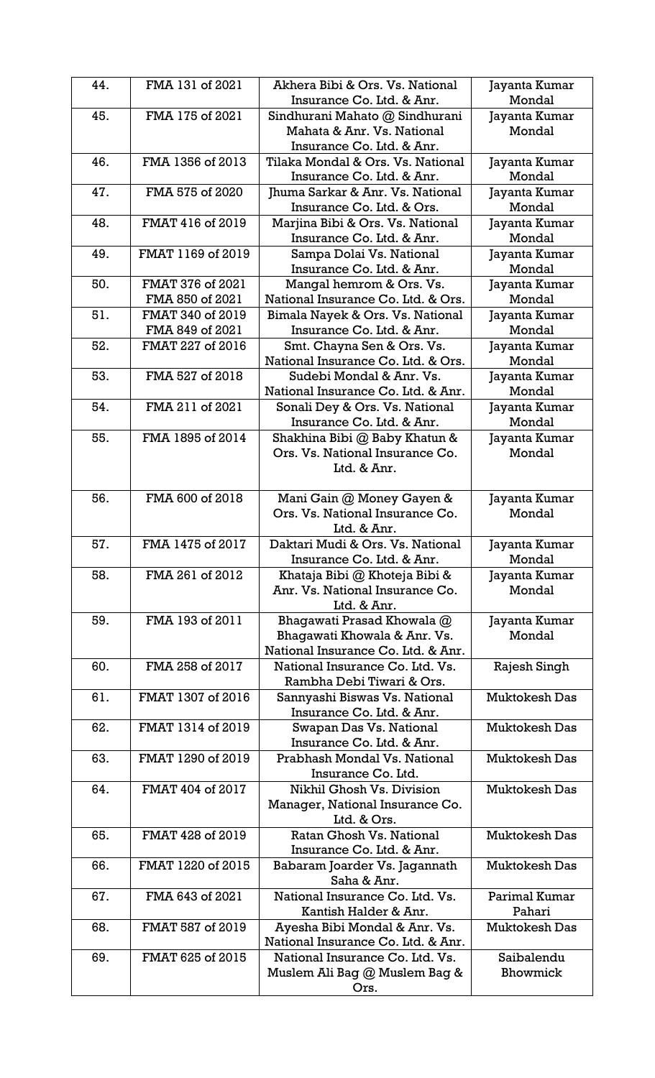| 44. | FMA 131 of 2021   | Akhera Bibi & Ors. Vs. National                                  | Jayanta Kumar           |
|-----|-------------------|------------------------------------------------------------------|-------------------------|
|     |                   | Insurance Co. Ltd. & Anr.                                        | Mondal                  |
| 45. | FMA 175 of 2021   | Sindhurani Mahato @ Sindhurani                                   | Jayanta Kumar           |
|     |                   | Mahata & Anr. Vs. National                                       | Mondal                  |
|     |                   | Insurance Co. Ltd. & Anr.                                        |                         |
| 46. | FMA 1356 of 2013  | Tilaka Mondal & Ors. Vs. National                                | Jayanta Kumar           |
|     |                   | Insurance Co. Ltd. & Anr.                                        | Mondal                  |
| 47. | FMA 575 of 2020   | Jhuma Sarkar & Anr. Vs. National                                 | Jayanta Kumar           |
|     |                   | Insurance Co. Ltd. & Ors.                                        | Mondal                  |
| 48. | FMAT 416 of 2019  | Marjina Bibi & Ors. Vs. National                                 | Jayanta Kumar           |
|     |                   | Insurance Co. Ltd. & Anr.                                        | Mondal                  |
| 49. | FMAT 1169 of 2019 | Sampa Dolai Vs. National                                         | Jayanta Kumar           |
|     |                   | Insurance Co. Ltd. & Anr.                                        | Mondal                  |
| 50. | FMAT 376 of 2021  | Mangal hemrom & Ors. Vs.                                         | Jayanta Kumar           |
|     | FMA 850 of 2021   | National Insurance Co. Ltd. & Ors.                               | Mondal                  |
| 51. | FMAT 340 of 2019  | Bimala Nayek & Ors. Vs. National                                 | Jayanta Kumar           |
|     | FMA 849 of 2021   | Insurance Co. Ltd. & Anr.                                        | Mondal                  |
| 52. | FMAT 227 of 2016  | Smt. Chayna Sen & Ors. Vs.                                       | Jayanta Kumar           |
|     |                   | National Insurance Co. Ltd. & Ors.                               | Mondal                  |
| 53. | FMA 527 of 2018   | Sudebi Mondal & Anr. Vs.                                         | Jayanta Kumar           |
|     |                   | National Insurance Co. Ltd. & Anr.                               | Mondal                  |
| 54. | FMA 211 of 2021   | Sonali Dey & Ors. Vs. National                                   | Jayanta Kumar           |
|     |                   | Insurance Co. Ltd. & Anr.                                        | Mondal                  |
| 55. | FMA 1895 of 2014  | Shakhina Bibi @ Baby Khatun &                                    | Jayanta Kumar           |
|     |                   | Ors. Vs. National Insurance Co.                                  | Mondal                  |
|     |                   | Ltd. & Anr.                                                      |                         |
|     |                   |                                                                  |                         |
| 56. | FMA 600 of 2018   | Mani Gain @ Money Gayen &<br>Ors. Vs. National Insurance Co.     | Jayanta Kumar           |
|     |                   | Ltd. & Anr.                                                      | Mondal                  |
|     |                   |                                                                  |                         |
| 57. | FMA 1475 of 2017  | Daktari Mudi & Ors. Vs. National                                 | Jayanta Kumar           |
| 58. | FMA 261 of 2012   | Insurance Co. Ltd. & Anr.                                        | Mondal                  |
|     |                   | Khataja Bibi @ Khoteja Bibi &<br>Anr. Vs. National Insurance Co. | Jayanta Kumar<br>Mondal |
|     |                   | Ltd. & Anr.                                                      |                         |
| 59. | FMA 193 of 2011   | Bhagawati Prasad Khowala @                                       | Jayanta Kumar           |
|     |                   | Bhagawati Khowala & Anr. Vs.                                     | Mondal                  |
|     |                   | National Insurance Co. Ltd. & Anr.                               |                         |
| 60. | FMA 258 of 2017   | National Insurance Co. Ltd. Vs.                                  | Rajesh Singh            |
|     |                   | Rambha Debi Tiwari & Ors.                                        |                         |
| 61. | FMAT 1307 of 2016 | Sannyashi Biswas Vs. National                                    | <b>Muktokesh Das</b>    |
|     |                   | Insurance Co. Ltd. & Anr.                                        |                         |
| 62. | FMAT 1314 of 2019 | Swapan Das Vs. National                                          | <b>Muktokesh Das</b>    |
|     |                   | Insurance Co. Ltd. & Anr.                                        |                         |
| 63. | FMAT 1290 of 2019 | Prabhash Mondal Vs. National                                     | <b>Muktokesh Das</b>    |
|     |                   | Insurance Co. Ltd.                                               |                         |
| 64. | FMAT 404 of 2017  | Nikhil Ghosh Vs. Division                                        | <b>Muktokesh Das</b>    |
|     |                   | Manager, National Insurance Co.                                  |                         |
|     |                   |                                                                  |                         |
| 65. |                   | Ltd. & Ors.                                                      |                         |
|     | FMAT 428 of 2019  | Ratan Ghosh Vs. National                                         | <b>Muktokesh Das</b>    |
|     |                   | Insurance Co. Ltd. & Anr.                                        |                         |
| 66. | FMAT 1220 of 2015 | Babaram Joarder Vs. Jagannath                                    | <b>Muktokesh Das</b>    |
|     |                   | Saha & Anr.                                                      |                         |
| 67. | FMA 643 of 2021   | National Insurance Co. Ltd. Vs.                                  | Parimal Kumar           |
|     |                   | Kantish Halder & Anr.                                            | Pahari                  |
| 68. | FMAT 587 of 2019  | Ayesha Bibi Mondal & Anr. Vs.                                    | <b>Muktokesh Das</b>    |
|     |                   | National Insurance Co. Ltd. & Anr.                               |                         |
| 69. | FMAT 625 of 2015  | National Insurance Co. Ltd. Vs.                                  | Saibalendu              |
|     |                   | Muslem Ali Bag @ Muslem Bag &                                    | Bhowmick                |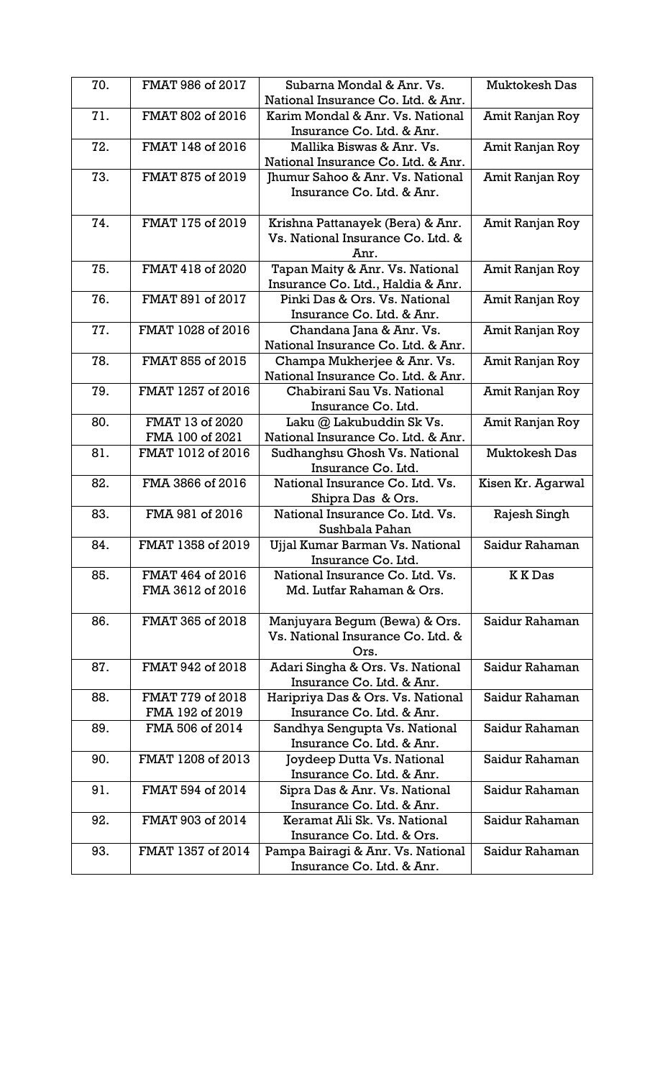| 70. | FMAT 986 of 2017  | Subarna Mondal & Anr. Vs.                                       | <b>Muktokesh Das</b> |
|-----|-------------------|-----------------------------------------------------------------|----------------------|
|     |                   | National Insurance Co. Ltd. & Anr.                              |                      |
| 71. | FMAT 802 of 2016  | Karim Mondal & Anr. Vs. National<br>Insurance Co. Ltd. & Anr.   | Amit Ranjan Roy      |
| 72. | FMAT 148 of 2016  | Mallika Biswas & Anr. Vs.<br>National Insurance Co. Ltd. & Anr. | Amit Ranjan Roy      |
| 73. | FMAT 875 of 2019  | Jhumur Sahoo & Anr. Vs. National                                | Amit Ranjan Roy      |
|     |                   | Insurance Co. Ltd. & Anr.                                       |                      |
| 74. | FMAT 175 of 2019  | Krishna Pattanayek (Bera) & Anr.                                | Amit Ranjan Roy      |
|     |                   | Vs. National Insurance Co. Ltd. &<br>Anr.                       |                      |
| 75. | FMAT 418 of 2020  | Tapan Maity & Anr. Vs. National                                 | Amit Ranjan Roy      |
|     |                   | Insurance Co. Ltd., Haldia & Anr.                               |                      |
| 76. | FMAT 891 of 2017  | Pinki Das & Ors. Vs. National                                   | Amit Ranjan Roy      |
| 77. | FMAT 1028 of 2016 | Insurance Co. Ltd. & Anr.                                       |                      |
|     |                   | Chandana Jana & Anr. Vs.<br>National Insurance Co. Ltd. & Anr.  | Amit Ranjan Roy      |
| 78. | FMAT 855 of 2015  | Champa Mukherjee & Anr. Vs.                                     | Amit Ranjan Roy      |
|     |                   | National Insurance Co. Ltd. & Anr.                              |                      |
| 79. | FMAT 1257 of 2016 | Chabirani Sau Vs. National                                      | Amit Ranjan Roy      |
|     |                   | Insurance Co. Ltd.                                              |                      |
| 80. | FMAT 13 of 2020   | Laku @ Lakubuddin Sk Vs.                                        | Amit Ranjan Roy      |
|     | FMA 100 of 2021   | National Insurance Co. Ltd. & Anr.                              |                      |
| 81. | FMAT 1012 of 2016 | Sudhanghsu Ghosh Vs. National<br>Insurance Co. Ltd.             | <b>Muktokesh Das</b> |
| 82. | FMA 3866 of 2016  | National Insurance Co. Ltd. Vs.                                 | Kisen Kr. Agarwal    |
|     |                   | Shipra Das & Ors.                                               |                      |
| 83. | FMA 981 of 2016   | National Insurance Co. Ltd. Vs.<br>Sushbala Pahan               | Rajesh Singh         |
| 84. | FMAT 1358 of 2019 | Ujjal Kumar Barman Vs. National                                 | Saidur Rahaman       |
|     |                   | Insurance Co. Ltd.                                              |                      |
| 85. | FMAT 464 of 2016  | National Insurance Co. Ltd. Vs.                                 | <b>KKDas</b>         |
|     |                   |                                                                 |                      |
|     | FMA 3612 of 2016  | Md. Lutfar Rahaman & Ors.                                       |                      |
|     |                   |                                                                 |                      |
| 86. | FMAT 365 of 2018  | Manjuyara Begum (Bewa) & Ors.                                   | Saidur Rahaman       |
|     |                   | Vs. National Insurance Co. Ltd. &                               |                      |
|     |                   | Ors.                                                            |                      |
| 87. | FMAT 942 of 2018  | Adari Singha & Ors. Vs. National                                | Saidur Rahaman       |
|     |                   | Insurance Co. Ltd. & Anr.                                       |                      |
| 88. | FMAT 779 of 2018  | Haripriya Das & Ors. Vs. National                               | Saidur Rahaman       |
|     | FMA 192 of 2019   | Insurance Co. Ltd. & Anr.                                       |                      |
| 89. | FMA 506 of 2014   | Sandhya Sengupta Vs. National                                   | Saidur Rahaman       |
| 90. | FMAT 1208 of 2013 | Insurance Co. Ltd. & Anr.                                       | Saidur Rahaman       |
|     |                   | Joydeep Dutta Vs. National<br>Insurance Co. Ltd. & Anr.         |                      |
| 91. | FMAT 594 of 2014  | Sipra Das & Anr. Vs. National                                   | Saidur Rahaman       |
|     |                   | Insurance Co. Ltd. & Anr.                                       |                      |
| 92. | FMAT 903 of 2014  | Keramat Ali Sk. Vs. National                                    | Saidur Rahaman       |
|     |                   | Insurance Co. Ltd. & Ors.                                       |                      |
| 93. | FMAT 1357 of 2014 | Pampa Bairagi & Anr. Vs. National                               | Saidur Rahaman       |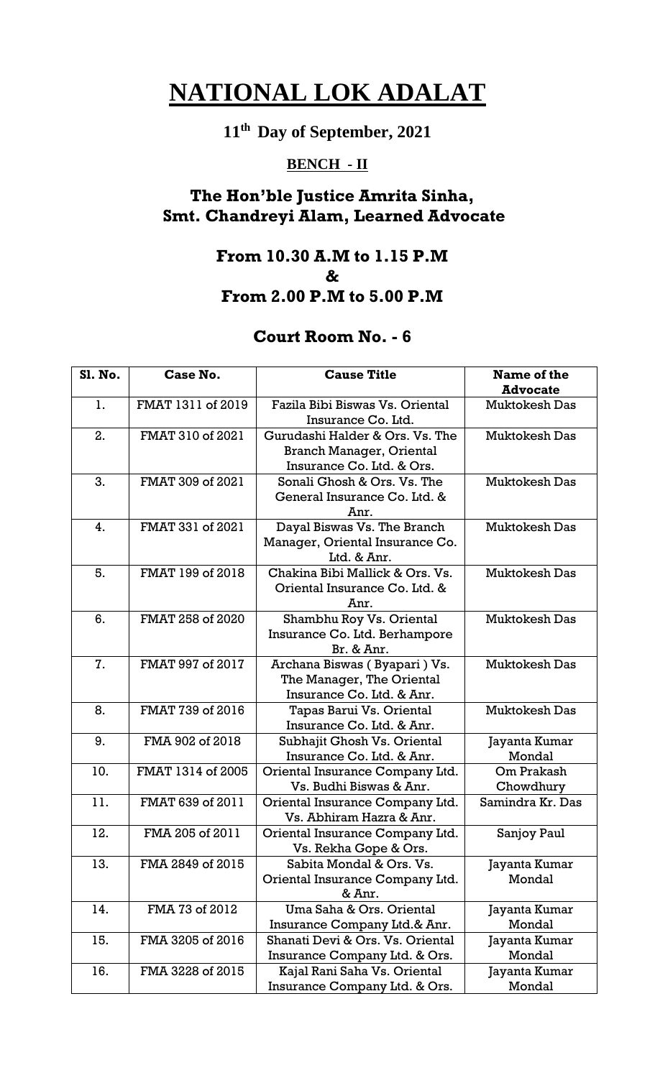# **11th Day of September, 2021**

## **BENCH - II**

## **The Hon'ble Justice Amrita Sinha, Smt. Chandreyi Alam, Learned Advocate**

#### **From 10.30 A.M to 1.15 P.M & From 2.00 P.M to 5.00 P.M**

| <b>Sl. No.</b> | Case No.          | <b>Cause Title</b>                                                                              | Name of the<br><b>Advocate</b> |
|----------------|-------------------|-------------------------------------------------------------------------------------------------|--------------------------------|
| 1.             | FMAT 1311 of 2019 | Fazila Bibi Biswas Vs. Oriental<br>Insurance Co. Ltd.                                           | <b>Muktokesh Das</b>           |
| 2.             | FMAT 310 of 2021  | Gurudashi Halder & Ors. Vs. The<br><b>Branch Manager, Oriental</b><br>Insurance Co. Ltd. & Ors. | <b>Muktokesh Das</b>           |
| 3.             | FMAT 309 of 2021  | Sonali Ghosh & Ors. Vs. The<br>General Insurance Co. Ltd. &<br>Anr.                             | <b>Muktokesh Das</b>           |
| 4.             | FMAT 331 of 2021  | Dayal Biswas Vs. The Branch<br>Manager, Oriental Insurance Co.<br>Ltd. & Anr.                   | <b>Muktokesh Das</b>           |
| 5.             | FMAT 199 of 2018  | Chakina Bibi Mallick & Ors. Vs.<br>Oriental Insurance Co. Ltd. &<br>Anr.                        | <b>Muktokesh Das</b>           |
| 6.             | FMAT 258 of 2020  | Shambhu Roy Vs. Oriental<br>Insurance Co. Ltd. Berhampore<br>Br. & Anr.                         | <b>Muktokesh Das</b>           |
| 7.             | FMAT 997 of 2017  | Archana Biswas (Byapari) Vs.<br>The Manager, The Oriental<br>Insurance Co. Ltd. & Anr.          | <b>Muktokesh Das</b>           |
| 8.             | FMAT 739 of 2016  | Tapas Barui Vs. Oriental<br>Insurance Co. Ltd. & Anr.                                           | <b>Muktokesh Das</b>           |
| 9.             | FMA 902 of 2018   | Subhajit Ghosh Vs. Oriental<br>Insurance Co. Ltd. & Anr.                                        | Jayanta Kumar<br>Mondal        |
| 10.            | FMAT 1314 of 2005 | Oriental Insurance Company Ltd.<br>Vs. Budhi Biswas & Anr.                                      | Om Prakash<br>Chowdhury        |
| 11.            | FMAT 639 of 2011  | Oriental Insurance Company Ltd.<br>Vs. Abhiram Hazra & Anr.                                     | Samindra Kr. Das               |
| 12.            | FMA 205 of 2011   | Oriental Insurance Company Ltd.<br>Vs. Rekha Gope & Ors.                                        | Sanjoy Paul                    |
| 13.            | FMA 2849 of 2015  | Sabita Mondal & Ors. Vs.<br>Oriental Insurance Company Ltd.<br>& Anr.                           | Jayanta Kumar<br>Mondal        |
| 14.            | FMA 73 of 2012    | Uma Saha & Ors. Oriental<br>Insurance Company Ltd.& Anr.                                        | Jayanta Kumar<br>Mondal        |
| 15.            | FMA 3205 of 2016  | Shanati Devi & Ors. Vs. Oriental<br>Insurance Company Ltd. & Ors.                               | Jayanta Kumar<br>Mondal        |
| 16.            | FMA 3228 of 2015  | Kajal Rani Saha Vs. Oriental<br>Insurance Company Ltd. & Ors.                                   | Jayanta Kumar<br>Mondal        |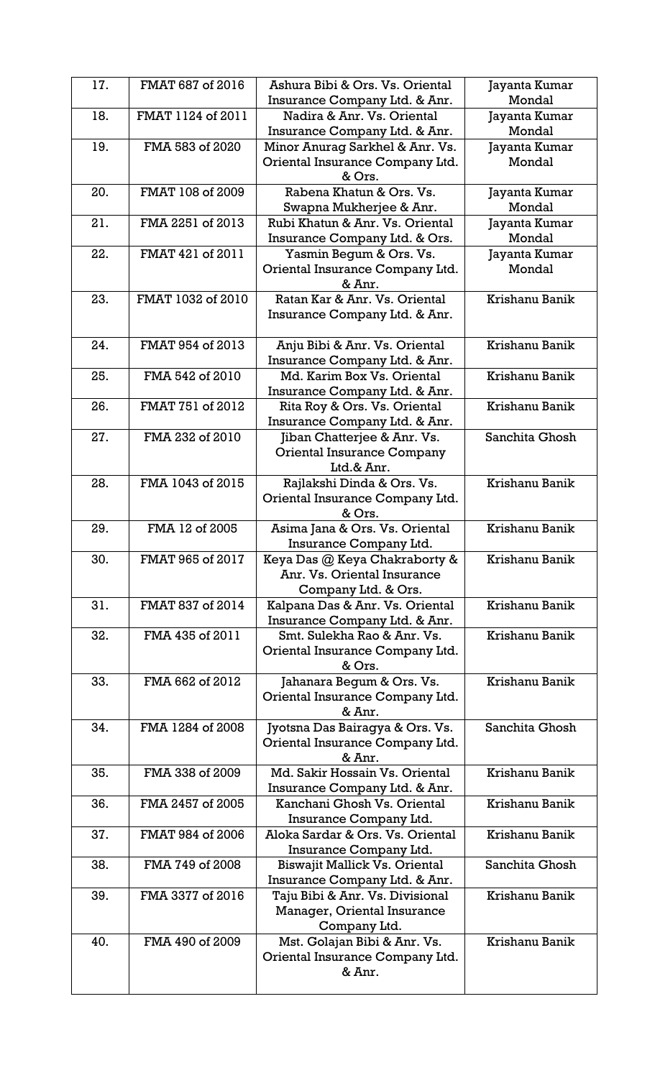| 17. | FMAT 687 of 2016  | Ashura Bibi & Ors. Vs. Oriental                                  | Jayanta Kumar<br>Mondal |
|-----|-------------------|------------------------------------------------------------------|-------------------------|
| 18. | FMAT 1124 of 2011 | Insurance Company Ltd. & Anr.<br>Nadira & Anr. Vs. Oriental      | Jayanta Kumar           |
|     |                   | Insurance Company Ltd. & Anr.                                    | Mondal                  |
| 19. | FMA 583 of 2020   | Minor Anurag Sarkhel & Anr. Vs.                                  | Jayanta Kumar           |
|     |                   | Oriental Insurance Company Ltd.                                  | Mondal                  |
|     |                   | & Ors.                                                           |                         |
| 20. | FMAT 108 of 2009  | Rabena Khatun & Ors. Vs.                                         | Jayanta Kumar           |
|     |                   | Swapna Mukherjee & Anr.                                          | Mondal                  |
| 21. | FMA 2251 of 2013  | Rubi Khatun & Anr. Vs. Oriental<br>Insurance Company Ltd. & Ors. | Jayanta Kumar<br>Mondal |
| 22. | FMAT 421 of 2011  | Yasmin Begum & Ors. Vs.                                          | Jayanta Kumar           |
|     |                   | Oriental Insurance Company Ltd.                                  | Mondal                  |
|     |                   | & Anr.                                                           |                         |
| 23. | FMAT 1032 of 2010 | Ratan Kar & Anr. Vs. Oriental                                    | Krishanu Banik          |
|     |                   | Insurance Company Ltd. & Anr.                                    |                         |
| 24. | FMAT 954 of 2013  | Anju Bibi & Anr. Vs. Oriental                                    | Krishanu Banik          |
|     |                   | Insurance Company Ltd. & Anr.                                    |                         |
| 25. | FMA 542 of 2010   | Md. Karim Box Vs. Oriental                                       | Krishanu Banik          |
|     |                   | Insurance Company Ltd. & Anr.                                    |                         |
| 26. | FMAT 751 of 2012  | Rita Roy & Ors. Vs. Oriental<br>Insurance Company Ltd. & Anr.    | Krishanu Banik          |
| 27. | FMA 232 of 2010   | Jiban Chatterjee & Anr. Vs.                                      | Sanchita Ghosh          |
|     |                   | <b>Oriental Insurance Company</b>                                |                         |
|     |                   | Ltd.& Anr.                                                       |                         |
| 28. | FMA 1043 of 2015  | Rajlakshi Dinda & Ors. Vs.                                       | Krishanu Banik          |
|     |                   | Oriental Insurance Company Ltd.                                  |                         |
|     |                   | & Ors.                                                           |                         |
| 29. | FMA 12 of 2005    | Asima Jana & Ors. Vs. Oriental<br>Insurance Company Ltd.         | Krishanu Banik          |
| 30. | FMAT 965 of 2017  | Keya Das @ Keya Chakraborty &                                    | Krishanu Banik          |
|     |                   | Anr. Vs. Oriental Insurance                                      |                         |
|     |                   | Company Ltd. & Ors.                                              |                         |
| 31. | FMAT 837 of 2014  | Kalpana Das & Anr. Vs. Oriental                                  | Krishanu Banik          |
|     |                   | Insurance Company Ltd. & Anr.                                    |                         |
| 32. | FMA 435 of 2011   | Smt. Sulekha Rao & Anr. Vs.                                      | Krishanu Banik          |
|     |                   | Oriental Insurance Company Ltd.                                  |                         |
|     |                   | & Ors.                                                           |                         |
| 33. | FMA 662 of 2012   | Jahanara Begum & Ors. Vs.<br>Oriental Insurance Company Ltd.     | Krishanu Banik          |
|     |                   | & Anr.                                                           |                         |
| 34. | FMA 1284 of 2008  | Jyotsna Das Bairagya & Ors. Vs.                                  | Sanchita Ghosh          |
|     |                   | Oriental Insurance Company Ltd.                                  |                         |
|     |                   | & Anr.                                                           |                         |
| 35. | FMA 338 of 2009   | Md. Sakir Hossain Vs. Oriental                                   | Krishanu Banik          |
|     |                   | Insurance Company Ltd. & Anr.                                    |                         |
| 36. | FMA 2457 of 2005  | Kanchani Ghosh Vs. Oriental                                      | Krishanu Banik          |
| 37. | FMAT 984 of 2006  | Insurance Company Ltd.<br>Aloka Sardar & Ors. Vs. Oriental       | Krishanu Banik          |
|     |                   | Insurance Company Ltd.                                           |                         |
| 38. | FMA 749 of 2008   | Biswajit Mallick Vs. Oriental                                    | Sanchita Ghosh          |
|     |                   | Insurance Company Ltd. & Anr.                                    |                         |
| 39. | FMA 3377 of 2016  | Taju Bibi & Anr. Vs. Divisional                                  | Krishanu Banik          |
|     |                   | Manager, Oriental Insurance                                      |                         |
|     |                   | Company Ltd.                                                     |                         |
| 40. | FMA 490 of 2009   | Mst. Golajan Bibi & Anr. Vs.                                     | Krishanu Banik          |
|     |                   | Oriental Insurance Company Ltd.<br>& Anr.                        |                         |
|     |                   |                                                                  |                         |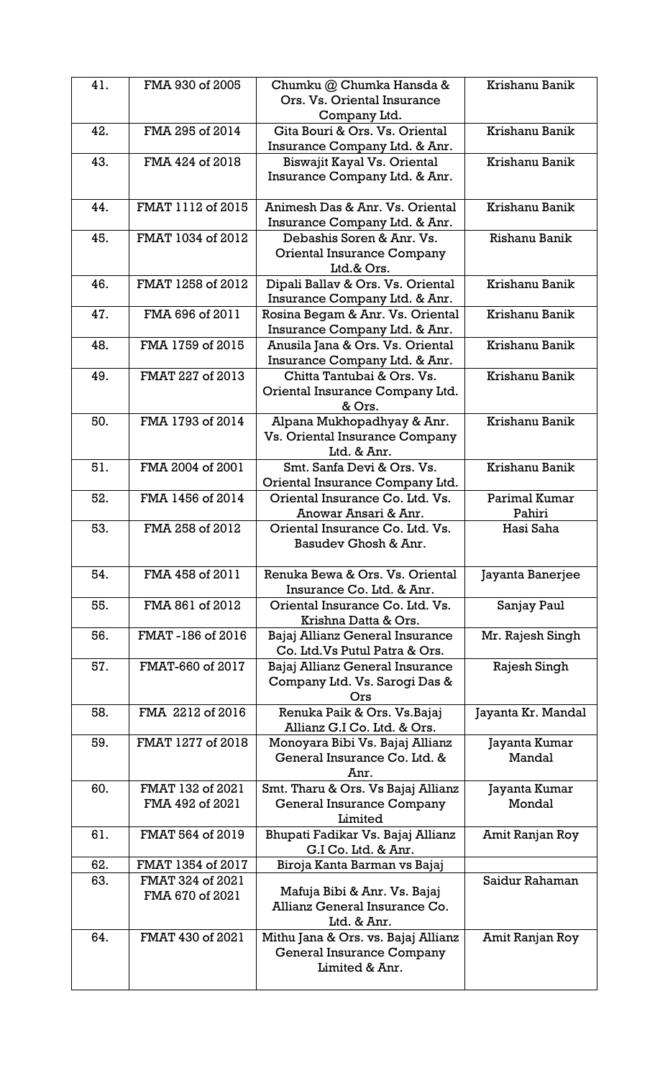| 41. | FMA 930 of 2005                     | Chumku @ Chumka Hansda &<br>Ors. Vs. Oriental Insurance<br>Company Ltd.            | Krishanu Banik          |
|-----|-------------------------------------|------------------------------------------------------------------------------------|-------------------------|
| 42. | FMA 295 of 2014                     | Gita Bouri & Ors. Vs. Oriental<br>Insurance Company Ltd. & Anr.                    | Krishanu Banik          |
| 43. | FMA 424 of 2018                     | Biswajit Kayal Vs. Oriental<br>Insurance Company Ltd. & Anr.                       | Krishanu Banik          |
| 44. | FMAT 1112 of 2015                   | Animesh Das & Anr. Vs. Oriental<br>Insurance Company Ltd. & Anr.                   | Krishanu Banik          |
| 45. | FMAT 1034 of 2012                   | Debashis Soren & Anr. Vs.<br>Oriental Insurance Company<br>Ltd.& Ors.              | Rishanu Banik           |
| 46. | FMAT 1258 of 2012                   | Dipali Ballav & Ors. Vs. Oriental<br>Insurance Company Ltd. & Anr.                 | Krishanu Banik          |
| 47. | FMA 696 of 2011                     | Rosina Begam & Anr. Vs. Oriental<br>Insurance Company Ltd. & Anr.                  | Krishanu Banik          |
| 48. | FMA 1759 of 2015                    | Anusila Jana & Ors. Vs. Oriental<br>Insurance Company Ltd. & Anr.                  | Krishanu Banik          |
| 49. | FMAT 227 of 2013                    | Chitta Tantubai & Ors. Vs.<br>Oriental Insurance Company Ltd.<br>& Ors.            | Krishanu Banik          |
| 50. | FMA 1793 of 2014                    | Alpana Mukhopadhyay & Anr.<br>Vs. Oriental Insurance Company<br>Ltd. & Anr.        | Krishanu Banik          |
| 51. | FMA 2004 of 2001                    | Smt. Sanfa Devi & Ors. Vs.<br>Oriental Insurance Company Ltd.                      | Krishanu Banik          |
| 52. | FMA 1456 of 2014                    | Oriental Insurance Co. Ltd. Vs.<br>Anowar Ansari & Anr.                            | Parimal Kumar<br>Pahiri |
| 53. | FMA 258 of 2012                     | Oriental Insurance Co. Ltd. Vs.<br>Basudev Ghosh & Anr.                            | Hasi Saha               |
| 54. | FMA 458 of 2011                     | Renuka Bewa & Ors. Vs. Oriental<br>Insurance Co. Ltd. & Anr.                       | Jayanta Banerjee        |
| 55. | FMA 861 of 2012                     | Oriental Insurance Co. Ltd. Vs.<br>Krishna Datta & Ors.                            | Sanjay Paul             |
| 56. | FMAT-186 of 2016                    | Bajaj Allianz General Insurance<br>Co. Ltd. Vs Putul Patra & Ors.                  | Mr. Rajesh Singh        |
| 57. | FMAT-660 of 2017                    | Bajaj Allianz General Insurance<br>Company Ltd. Vs. Sarogi Das &<br>Ors            | Rajesh Singh            |
| 58. | FMA 2212 of 2016                    | Renuka Paik & Ors. Vs. Bajaj<br>Allianz G.I Co. Ltd. & Ors.                        | Jayanta Kr. Mandal      |
| 59. | FMAT 1277 of 2018                   | Monoyara Bibi Vs. Bajaj Allianz<br>General Insurance Co. Ltd. &<br>Anr.            | Jayanta Kumar<br>Mandal |
| 60. | FMAT 132 of 2021<br>FMA 492 of 2021 | Smt. Tharu & Ors. Vs Bajaj Allianz<br>General Insurance Company<br>Limited         | Jayanta Kumar<br>Mondal |
| 61. | FMAT 564 of 2019                    | Bhupati Fadikar Vs. Bajaj Allianz<br>G.I Co. Ltd. & Anr.                           | Amit Ranjan Roy         |
| 62. | FMAT 1354 of 2017                   | Biroja Kanta Barman vs Bajaj                                                       |                         |
| 63. | FMAT 324 of 2021                    |                                                                                    | Saidur Rahaman          |
|     | FMA 670 of 2021                     | Mafuja Bibi & Anr. Vs. Bajaj<br>Allianz General Insurance Co.<br>Ltd. & Anr.       |                         |
| 64. | FMAT 430 of 2021                    | Mithu Jana & Ors. vs. Bajaj Allianz<br>General Insurance Company<br>Limited & Anr. | Amit Ranjan Roy         |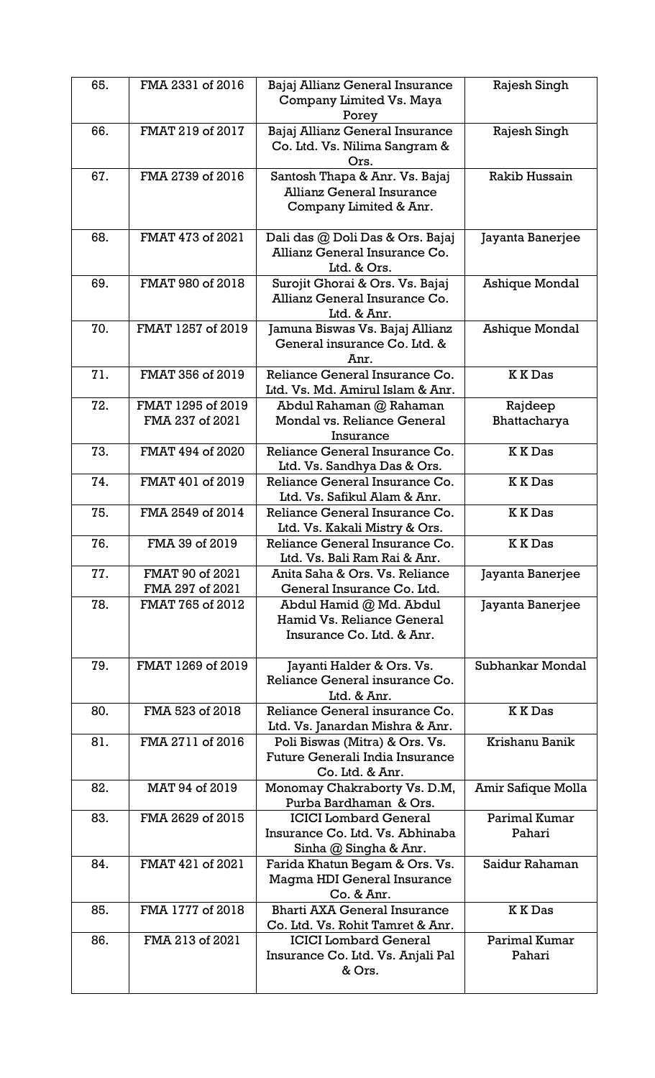| 65. | FMA 2331 of 2016                     | Bajaj Allianz General Insurance<br>Company Limited Vs. Maya<br>Porey                         | Rajesh Singh            |
|-----|--------------------------------------|----------------------------------------------------------------------------------------------|-------------------------|
| 66. | FMAT 219 of 2017                     | Bajaj Allianz General Insurance<br>Co. Ltd. Vs. Nilima Sangram &<br>Ors.                     | Rajesh Singh            |
| 67. | FMA 2739 of 2016                     | Santosh Thapa & Anr. Vs. Bajaj<br><b>Allianz General Insurance</b><br>Company Limited & Anr. | Rakib Hussain           |
| 68. | FMAT 473 of 2021                     | Dali das @ Doli Das & Ors. Bajaj<br>Allianz General Insurance Co.<br>Ltd. & Ors.             | Jayanta Banerjee        |
| 69. | FMAT 980 of 2018                     | Surojit Ghorai & Ors. Vs. Bajaj<br>Allianz General Insurance Co.<br>Ltd. & Anr.              | Ashique Mondal          |
| 70. | FMAT 1257 of 2019                    | Jamuna Biswas Vs. Bajaj Allianz<br>General insurance Co. Ltd. &<br>Anr.                      | <b>Ashique Mondal</b>   |
| 71. | FMAT 356 of 2019                     | Reliance General Insurance Co.<br>Ltd. Vs. Md. Amirul Islam & Anr.                           | <b>KKDas</b>            |
| 72. | FMAT 1295 of 2019<br>FMA 237 of 2021 | Abdul Rahaman @ Rahaman<br>Mondal vs. Reliance General<br>Insurance                          | Rajdeep<br>Bhattacharya |
| 73. | FMAT 494 of 2020                     | Reliance General Insurance Co.<br>Ltd. Vs. Sandhya Das & Ors.                                | <b>KKDas</b>            |
| 74. | FMAT 401 of 2019                     | Reliance General Insurance Co.<br>Ltd. Vs. Safikul Alam & Anr.                               | <b>KKDas</b>            |
| 75. | FMA 2549 of 2014                     | Reliance General Insurance Co.<br>Ltd. Vs. Kakali Mistry & Ors.                              | <b>KKDas</b>            |
| 76. | FMA 39 of 2019                       | Reliance General Insurance Co.<br>Ltd. Vs. Bali Ram Rai & Anr.                               | <b>KKDas</b>            |
| 77. | FMAT 90 of 2021<br>FMA 297 of 2021   | Anita Saha & Ors. Vs. Reliance<br>General Insurance Co. Ltd.                                 | Jayanta Banerjee        |
| 78. | FMAT 765 of 2012                     | Abdul Hamid @ Md. Abdul<br>Hamid Vs. Reliance General<br>Insurance Co. Ltd. & Anr.           | Jayanta Banerjee        |
| 79. | FMAT 1269 of 2019                    | Jayanti Halder & Ors. Vs.<br>Reliance General insurance Co.<br>Ltd. & Anr.                   | Subhankar Mondal        |
| 80. | FMA 523 of 2018                      | Reliance General insurance Co.<br>Ltd. Vs. Janardan Mishra & Anr.                            | <b>KKDas</b>            |
| 81. | FMA 2711 of 2016                     | Poli Biswas (Mitra) & Ors. Vs.<br>Future Generali India Insurance<br>Co. Ltd. & Anr.         | Krishanu Banik          |
| 82. | MAT 94 of 2019                       | Monomay Chakraborty Vs. D.M,<br>Purba Bardhaman & Ors.                                       | Amir Safique Molla      |
| 83. | FMA 2629 of 2015                     | <b>ICICI</b> Lombard General<br>Insurance Co. Ltd. Vs. Abhinaba<br>Sinha @ Singha & Anr.     | Parimal Kumar<br>Pahari |
| 84. | FMAT 421 of 2021                     | Farida Khatun Begam & Ors. Vs.<br>Magma HDI General Insurance<br>Co. & Anr.                  | Saidur Rahaman          |
| 85. | FMA 1777 of 2018                     | <b>Bharti AXA General Insurance</b><br>Co. Ltd. Vs. Rohit Tamret & Anr.                      | <b>KKDas</b>            |
| 86. | FMA 213 of 2021                      | <b>ICICI</b> Lombard General<br>Insurance Co. Ltd. Vs. Anjali Pal<br>& Ors.                  | Parimal Kumar<br>Pahari |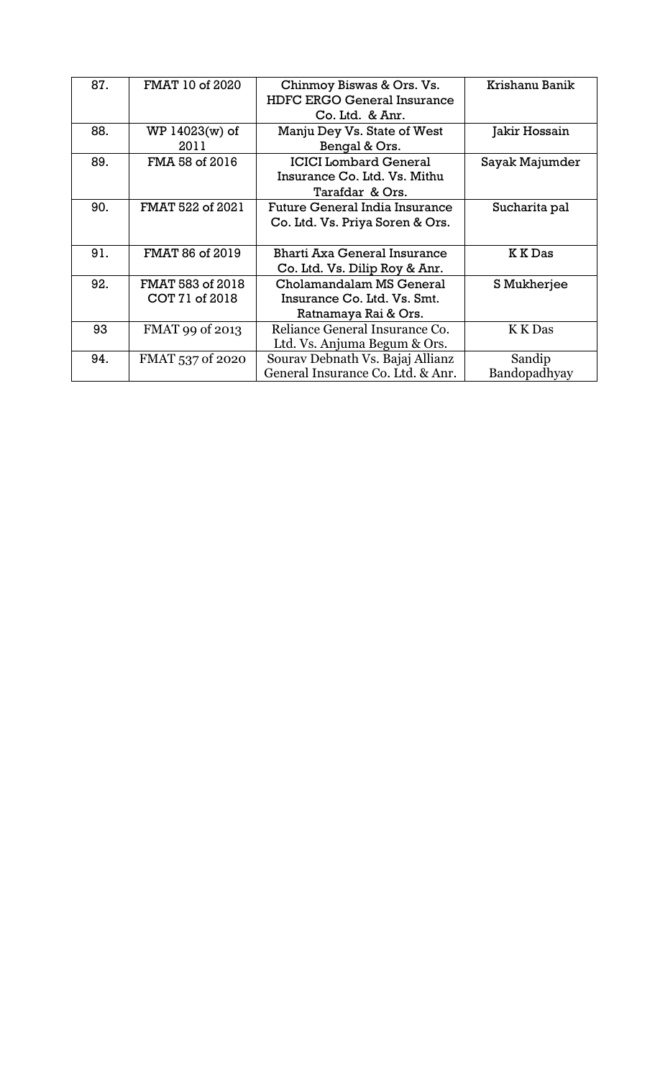| 87. | FMAT 10 of 2020                    | Chinmoy Biswas & Ors. Vs.<br><b>HDFC ERGO General Insurance</b>                 | Krishanu Banik         |
|-----|------------------------------------|---------------------------------------------------------------------------------|------------------------|
|     |                                    | Co. Ltd. & Anr.                                                                 |                        |
| 88. | WP 14023(w) of<br>2011             | Manju Dey Vs. State of West<br>Bengal & Ors.                                    | Jakir Hossain          |
| 89. | FMA 58 of 2016                     | <b>ICICI Lombard General</b><br>Insurance Co. Ltd. Vs. Mithu<br>Tarafdar & Ors. | Sayak Majumder         |
| 90. | FMAT 522 of 2021                   | Future General India Insurance<br>Co. Ltd. Vs. Priya Soren & Ors.               | Sucharita pal          |
| 91. | FMAT 86 of 2019                    | Bharti Axa General Insurance<br>Co. Ltd. Vs. Dilip Roy & Anr.                   | K K Das                |
| 92. | FMAT 583 of 2018<br>COT 71 of 2018 | Cholamandalam MS General<br>Insurance Co. Ltd. Vs. Smt.<br>Ratnamaya Rai & Ors. | S Mukherjee            |
| 93  | FMAT 99 of 2013                    | Reliance General Insurance Co.<br>Ltd. Vs. Anjuma Begum & Ors.                  | K K Das                |
| 94. | FMAT 537 of 2020                   | Sourav Debnath Vs. Bajaj Allianz<br>General Insurance Co. Ltd. & Anr.           | Sandip<br>Bandopadhyay |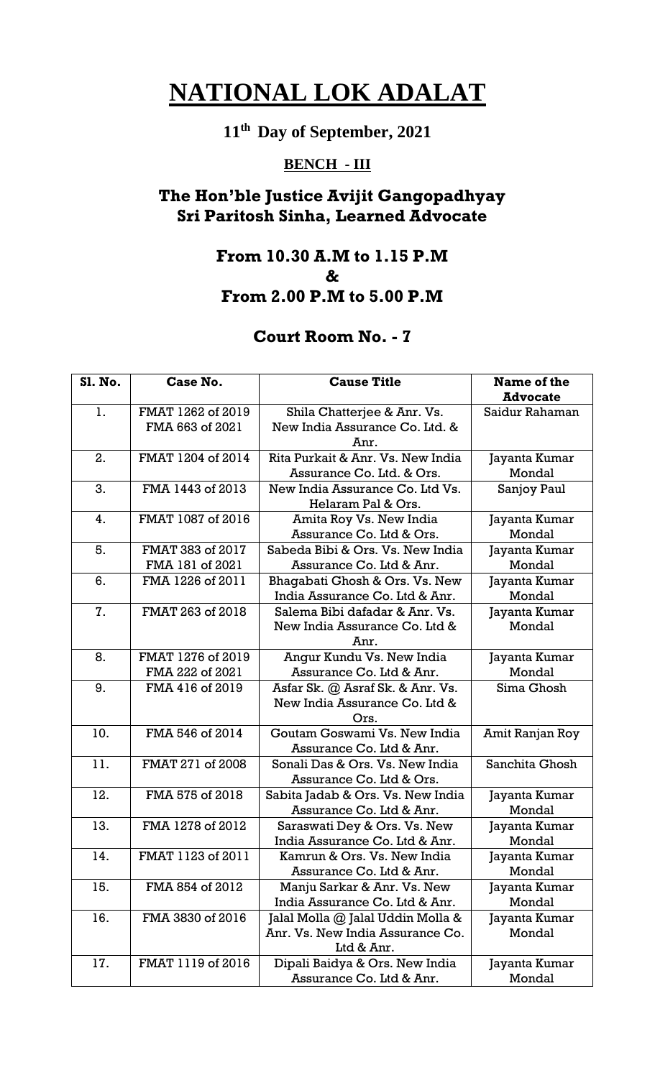# **11th Day of September, 2021**

# **BENCH - III**

## **The Hon'ble Justice Avijit Gangopadhyay Sri Paritosh Sinha, Learned Advocate**

#### **From 10.30 A.M to 1.15 P.M & From 2.00 P.M to 5.00 P.M**

| <b>S1. No.</b> | Case No.                             | <b>Cause Title</b>                                                                  | Name of the<br><b>Advocate</b> |
|----------------|--------------------------------------|-------------------------------------------------------------------------------------|--------------------------------|
| 1.             | FMAT 1262 of 2019<br>FMA 663 of 2021 | Shila Chatterjee & Anr. Vs.<br>New India Assurance Co. Ltd. &<br>Anr.               | Saidur Rahaman                 |
| 2.             | FMAT 1204 of 2014                    | Rita Purkait & Anr. Vs. New India<br>Assurance Co. Ltd. & Ors.                      | Jayanta Kumar<br>Mondal        |
| 3.             | FMA 1443 of 2013                     | New India Assurance Co. Ltd Vs.<br>Helaram Pal & Ors.                               | Sanjoy Paul                    |
| 4.             | FMAT 1087 of 2016                    | Amita Roy Vs. New India<br>Assurance Co. Ltd & Ors.                                 | Jayanta Kumar<br>Mondal        |
| 5.             | FMAT 383 of 2017<br>FMA 181 of 2021  | Sabeda Bibi & Ors. Vs. New India<br>Assurance Co. Ltd & Anr.                        | Jayanta Kumar<br>Mondal        |
| 6.             | FMA 1226 of 2011                     | Bhagabati Ghosh & Ors. Vs. New<br>India Assurance Co. Ltd & Anr.                    | Jayanta Kumar<br>Mondal        |
| 7.             | FMAT 263 of 2018                     | Salema Bibi dafadar & Anr. Vs.<br>New India Assurance Co. Ltd &<br>Anr.             | Jayanta Kumar<br>Mondal        |
| 8.             | FMAT 1276 of 2019<br>FMA 222 of 2021 | Angur Kundu Vs. New India<br>Assurance Co. Ltd & Anr.                               | Jayanta Kumar<br>Mondal        |
| 9.             | FMA 416 of 2019                      | Asfar Sk. @ Asraf Sk. & Anr. Vs.<br>New India Assurance Co. Ltd &<br>Ors.           | Sima Ghosh                     |
| 10.            | FMA 546 of 2014                      | Goutam Goswami Vs. New India<br>Assurance Co. Ltd & Anr.                            | Amit Ranjan Roy                |
| 11.            | FMAT 271 of 2008                     | Sonali Das & Ors. Vs. New India<br>Assurance Co. Ltd & Ors.                         | Sanchita Ghosh                 |
| 12.            | FMA 575 of 2018                      | Sabita Jadab & Ors. Vs. New India<br>Assurance Co. Ltd & Anr.                       | Jayanta Kumar<br>Mondal        |
| 13.            | FMA 1278 of 2012                     | Saraswati Dey & Ors. Vs. New<br>India Assurance Co. Ltd & Anr.                      | Jayanta Kumar<br>Mondal        |
| 14.            | FMAT 1123 of 2011                    | Kamrun & Ors. Vs. New India<br>Assurance Co. Ltd & Anr.                             | Jayanta Kumar<br>Mondal        |
| 15.            | FMA 854 of 2012                      | Manju Sarkar & Anr. Vs. New<br>India Assurance Co. Ltd & Anr.                       | Jayanta Kumar<br>Mondal        |
| 16.            | FMA 3830 of 2016                     | Jalal Molla @ Jalal Uddin Molla &<br>Anr. Vs. New India Assurance Co.<br>Ltd & Anr. | Jayanta Kumar<br>Mondal        |
| 17.            | FMAT 1119 of 2016                    | Dipali Baidya & Ors. New India<br>Assurance Co. Ltd & Anr.                          | Jayanta Kumar<br>Mondal        |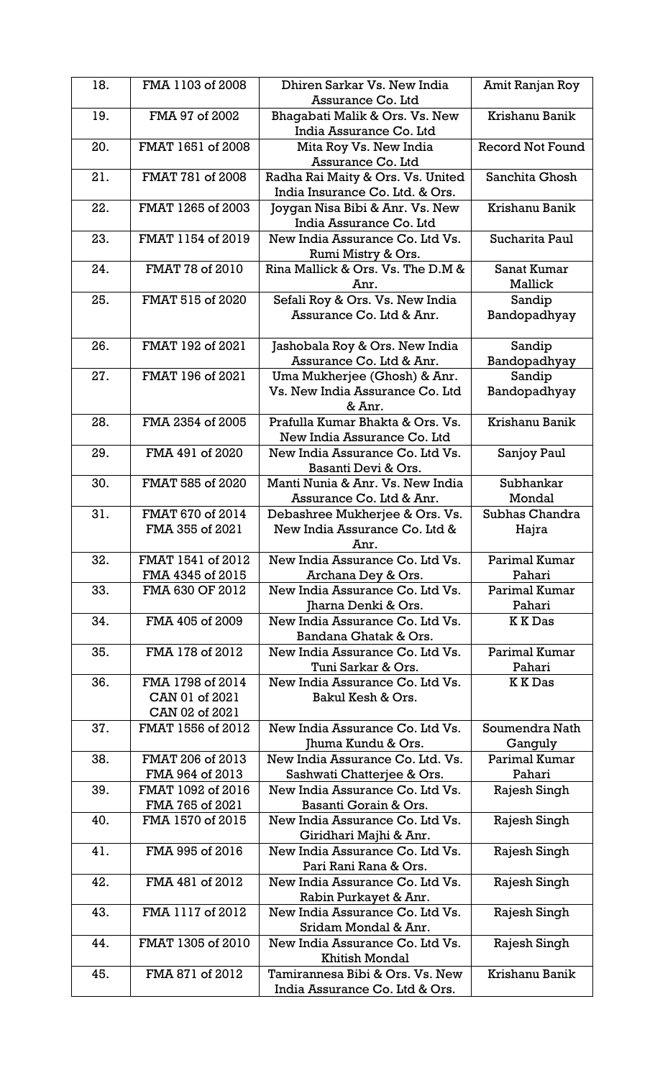| 18. | FMA 1103 of 2008                                     | Dhiren Sarkar Vs. New India<br>Assurance Co. Ltd                          | Amit Ranjan Roy           |
|-----|------------------------------------------------------|---------------------------------------------------------------------------|---------------------------|
| 19. | FMA 97 of 2002                                       | Bhagabati Malik & Ors. Vs. New<br>India Assurance Co. Ltd                 | Krishanu Banik            |
| 20. | FMAT 1651 of 2008                                    | Mita Roy Vs. New India<br>Assurance Co. Ltd                               | <b>Record Not Found</b>   |
| 21. | FMAT 781 of 2008                                     | Radha Rai Maity & Ors. Vs. United<br>India Insurance Co. Ltd. & Ors.      | Sanchita Ghosh            |
| 22. | FMAT 1265 of 2003                                    | Joygan Nisa Bibi & Anr. Vs. New<br>India Assurance Co. Ltd                | Krishanu Banik            |
| 23. | FMAT 1154 of 2019                                    | New India Assurance Co. Ltd Vs.<br>Rumi Mistry & Ors.                     | Sucharita Paul            |
| 24. | FMAT 78 of 2010                                      | Rina Mallick & Ors. Vs. The D.M &<br>Anr.                                 | Sanat Kumar<br>Mallick    |
| 25. | FMAT 515 of 2020                                     | Sefali Roy & Ors. Vs. New India<br>Assurance Co. Ltd & Anr.               | Sandip<br>Bandopadhyay    |
| 26. | FMAT 192 of 2021                                     | Jashobala Roy & Ors. New India<br>Assurance Co. Ltd & Anr.                | Sandip<br>Bandopadhyay    |
| 27. | FMAT 196 of 2021                                     | Uma Mukherjee (Ghosh) & Anr.<br>Vs. New India Assurance Co. Ltd<br>& Anr. | Sandip<br>Bandopadhyay    |
| 28. | FMA 2354 of 2005                                     | Prafulla Kumar Bhakta & Ors. Vs.<br>New India Assurance Co. Ltd           | Krishanu Banik            |
| 29. | FMA 491 of 2020                                      | New India Assurance Co. Ltd Vs.<br>Basanti Devi & Ors.                    | Sanjoy Paul               |
| 30. | FMAT 585 of 2020                                     | Manti Nunia & Anr. Vs. New India<br>Assurance Co. Ltd & Anr.              | Subhankar<br>Mondal       |
| 31. | FMAT 670 of 2014<br>FMA 355 of 2021                  | Debashree Mukherjee & Ors. Vs.<br>New India Assurance Co. Ltd &<br>Anr.   | Subhas Chandra<br>Hajra   |
| 32. | FMAT 1541 of 2012<br>FMA 4345 of 2015                | New India Assurance Co. Ltd Vs.<br>Archana Dey & Ors.                     | Parimal Kumar<br>Pahari   |
| 33. | FMA 630 OF 2012                                      | New India Assurance Co. Ltd Vs.<br>Jharna Denki & Ors.                    | Parimal Kumar<br>Pahari   |
| 34. | FMA 405 of 2009                                      | New India Assurance Co. Ltd Vs.<br>Bandana Ghatak & Ors.                  | K K Das                   |
| 35. | FMA 178 of 2012                                      | New India Assurance Co. Ltd Vs.<br>Tuni Sarkar & Ors.                     | Parimal Kumar<br>Pahari   |
| 36. | FMA 1798 of 2014<br>CAN 01 of 2021<br>CAN 02 of 2021 | New India Assurance Co. Ltd Vs.<br>Bakul Kesh & Ors.                      | <b>KKDas</b>              |
| 37. | FMAT 1556 of 2012                                    | New India Assurance Co. Ltd Vs.<br>Jhuma Kundu & Ors.                     | Soumendra Nath<br>Ganguly |
| 38. | FMAT 206 of 2013<br>FMA 964 of 2013                  | New India Assurance Co. Ltd. Vs.<br>Sashwati Chatterjee & Ors.            | Parimal Kumar<br>Pahari   |
| 39. | FMAT 1092 of 2016<br>FMA 765 of 2021                 | New India Assurance Co. Ltd Vs.<br>Basanti Gorain & Ors.                  | Rajesh Singh              |
| 40. | FMA 1570 of 2015                                     | New India Assurance Co. Ltd Vs.<br>Giridhari Majhi & Anr.                 | Rajesh Singh              |
| 41. | FMA 995 of 2016                                      | New India Assurance Co. Ltd Vs.<br>Pari Rani Rana & Ors.                  | Rajesh Singh              |
| 42. | FMA 481 of 2012                                      | New India Assurance Co. Ltd Vs.<br>Rabin Purkayet & Anr.                  | Rajesh Singh              |
| 43. | FMA 1117 of 2012                                     | New India Assurance Co. Ltd Vs.<br>Sridam Mondal & Anr.                   | Rajesh Singh              |
| 44. | FMAT 1305 of 2010                                    | New India Assurance Co. Ltd Vs.<br><b>Khitish Mondal</b>                  | Rajesh Singh              |
| 45. | FMA 871 of 2012                                      | Tamirannesa Bibi & Ors. Vs. New<br>India Assurance Co. Ltd & Ors.         | Krishanu Banik            |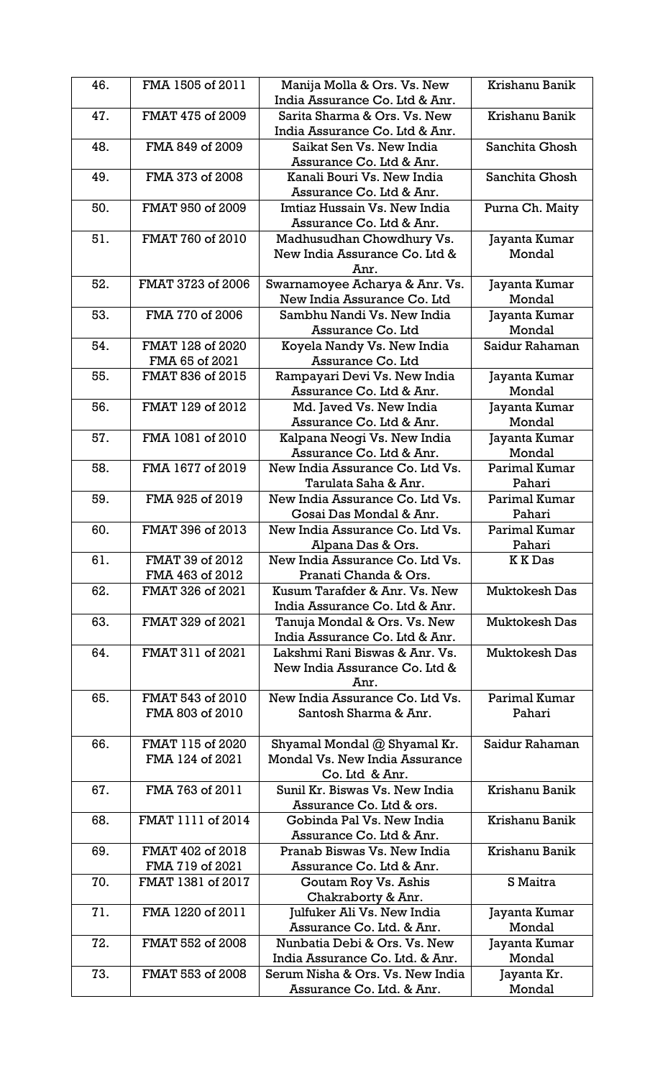| 46. | FMA 1505 of 2011  | Manija Molla & Ors. Vs. New      | Krishanu Banik       |
|-----|-------------------|----------------------------------|----------------------|
|     |                   | India Assurance Co. Ltd & Anr.   |                      |
| 47. | FMAT 475 of 2009  | Sarita Sharma & Ors. Vs. New     | Krishanu Banik       |
|     |                   | India Assurance Co. Ltd & Anr.   |                      |
| 48. | FMA 849 of 2009   | Saikat Sen Vs. New India         | Sanchita Ghosh       |
|     |                   | Assurance Co. Ltd & Anr.         |                      |
| 49. | FMA 373 of 2008   | Kanali Bouri Vs. New India       | Sanchita Ghosh       |
|     |                   | Assurance Co. Ltd & Anr.         |                      |
| 50. | FMAT 950 of 2009  | Imtiaz Hussain Vs. New India     | Purna Ch. Maity      |
|     |                   | Assurance Co. Ltd & Anr.         |                      |
| 51. | FMAT 760 of 2010  | Madhusudhan Chowdhury Vs.        | Jayanta Kumar        |
|     |                   | New India Assurance Co. Ltd &    | Mondal               |
|     |                   | Anr.                             |                      |
| 52. | FMAT 3723 of 2006 | Swarnamoyee Acharya & Anr. Vs.   | Jayanta Kumar        |
|     |                   | New India Assurance Co. Ltd      | Mondal               |
| 53. | FMA 770 of 2006   | Sambhu Nandi Vs. New India       | Jayanta Kumar        |
|     |                   | Assurance Co. Ltd                | Mondal               |
| 54. | FMAT 128 of 2020  | Koyela Nandy Vs. New India       | Saidur Rahaman       |
|     | FMA 65 of 2021    | Assurance Co. Ltd                |                      |
| 55. | FMAT 836 of 2015  | Rampayari Devi Vs. New India     | Jayanta Kumar        |
|     |                   | Assurance Co. Ltd & Anr.         | Mondal               |
| 56. | FMAT 129 of 2012  | Md. Javed Vs. New India          | Jayanta Kumar        |
|     |                   | Assurance Co. Ltd & Anr.         | Mondal               |
| 57. | FMA 1081 of 2010  | Kalpana Neogi Vs. New India      | Jayanta Kumar        |
|     |                   | Assurance Co. Ltd & Anr.         | Mondal               |
| 58. | FMA 1677 of 2019  | New India Assurance Co. Ltd Vs.  | Parimal Kumar        |
|     |                   | Tarulata Saha & Anr.             | Pahari               |
| 59. | FMA 925 of 2019   | New India Assurance Co. Ltd Vs.  | Parimal Kumar        |
|     |                   | Gosai Das Mondal & Anr.          | Pahari               |
| 60. | FMAT 396 of 2013  | New India Assurance Co. Ltd Vs.  | Parimal Kumar        |
|     |                   | Alpana Das & Ors.                | Pahari               |
| 61. | FMAT 39 of 2012   | New India Assurance Co. Ltd Vs.  | <b>KKDas</b>         |
|     | FMA 463 of 2012   | Pranati Chanda & Ors.            |                      |
| 62. | FMAT 326 of 2021  | Kusum Tarafder & Anr. Vs. New    | Muktokesh Das        |
|     |                   | India Assurance Co. Ltd & Anr.   |                      |
| 63. | FMAT 329 of 2021  | Tanuja Mondal & Ors. Vs. New     | <b>Muktokesh Das</b> |
|     |                   | India Assurance Co. Ltd & Anr.   |                      |
| 64. | FMAT 311 of 2021  | Lakshmi Rani Biswas & Anr. Vs.   | <b>Muktokesh Das</b> |
|     |                   | New India Assurance Co. Ltd &    |                      |
|     |                   | Anr.                             |                      |
| 65. | FMAT 543 of 2010  | New India Assurance Co. Ltd Vs.  | Parimal Kumar        |
|     | FMA 803 of 2010   | Santosh Sharma & Anr.            | Pahari               |
|     |                   |                                  |                      |
| 66. | FMAT 115 of 2020  | Shyamal Mondal @ Shyamal Kr.     | Saidur Rahaman       |
|     | FMA 124 of 2021   | Mondal Vs. New India Assurance   |                      |
|     |                   | Co. Ltd & Anr.                   |                      |
| 67. | FMA 763 of 2011   | Sunil Kr. Biswas Vs. New India   | Krishanu Banik       |
|     |                   | Assurance Co. Ltd & ors.         |                      |
| 68. | FMAT 1111 of 2014 | Gobinda Pal Vs. New India        | Krishanu Banik       |
|     |                   | Assurance Co. Ltd & Anr.         |                      |
| 69. | FMAT 402 of 2018  | Pranab Biswas Vs. New India      | Krishanu Banik       |
|     | FMA 719 of 2021   | Assurance Co. Ltd & Anr.         |                      |
| 70. | FMAT 1381 of 2017 | Goutam Roy Vs. Ashis             | S Maitra             |
|     |                   | Chakraborty & Anr.               |                      |
| 71. | FMA 1220 of 2011  | Julfuker Ali Vs. New India       | Jayanta Kumar        |
|     |                   | Assurance Co. Ltd. & Anr.        | Mondal               |
| 72. | FMAT 552 of 2008  | Nunbatia Debi & Ors. Vs. New     | Jayanta Kumar        |
|     |                   | India Assurance Co. Ltd. & Anr.  | Mondal               |
| 73. | FMAT 553 of 2008  | Serum Nisha & Ors. Vs. New India | Jayanta Kr.          |
|     |                   | Assurance Co. Ltd. & Anr.        | Mondal               |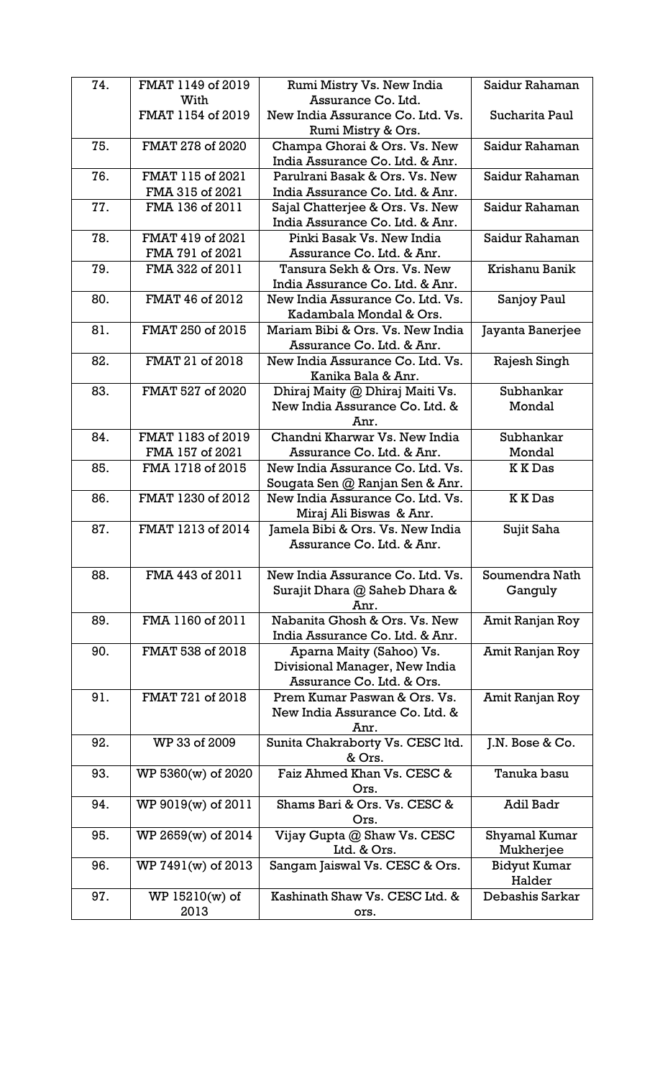| 74. | FMAT 1149 of 2019  | Rumi Mistry Vs. New India                                       | Saidur Rahaman   |
|-----|--------------------|-----------------------------------------------------------------|------------------|
|     | With               | Assurance Co. Ltd.                                              |                  |
|     | FMAT 1154 of 2019  | New India Assurance Co. Ltd. Vs.<br>Rumi Mistry & Ors.          | Sucharita Paul   |
| 75. | FMAT 278 of 2020   |                                                                 | Saidur Rahaman   |
|     |                    | Champa Ghorai & Ors. Vs. New<br>India Assurance Co. Ltd. & Anr. |                  |
|     |                    |                                                                 |                  |
| 76. | FMAT 115 of 2021   | Parulrani Basak & Ors. Vs. New                                  | Saidur Rahaman   |
|     | FMA 315 of 2021    | India Assurance Co. Ltd. & Anr.                                 |                  |
| 77. | FMA 136 of 2011    | Sajal Chatterjee & Ors. Vs. New                                 | Saidur Rahaman   |
|     |                    | India Assurance Co. Ltd. & Anr.                                 |                  |
| 78. | FMAT 419 of 2021   | Pinki Basak Vs. New India                                       | Saidur Rahaman   |
|     | FMA 791 of 2021    | Assurance Co. Ltd. & Anr.                                       |                  |
| 79. | FMA 322 of 2011    | Tansura Sekh & Ors. Vs. New                                     | Krishanu Banik   |
|     |                    | India Assurance Co. Ltd. & Anr.                                 |                  |
| 80. | FMAT 46 of 2012    | New India Assurance Co. Ltd. Vs.                                | Sanjoy Paul      |
|     |                    | Kadambala Mondal & Ors.                                         |                  |
| 81. | FMAT 250 of 2015   | Mariam Bibi & Ors. Vs. New India                                | Jayanta Banerjee |
|     |                    | Assurance Co. Ltd. & Anr.                                       |                  |
| 82. | FMAT 21 of 2018    | New India Assurance Co. Ltd. Vs.                                | Rajesh Singh     |
|     |                    | Kanika Bala & Anr.                                              |                  |
| 83. | FMAT 527 of 2020   | Dhiraj Maity @ Dhiraj Maiti Vs.                                 | Subhankar        |
|     |                    | New India Assurance Co. Ltd. &                                  | Mondal           |
|     |                    | Anr.                                                            |                  |
| 84. | FMAT 1183 of 2019  | Chandni Kharwar Vs. New India                                   | Subhankar        |
|     | FMA 157 of 2021    | Assurance Co. Ltd. & Anr.                                       | Mondal           |
| 85. | FMA 1718 of 2015   | New India Assurance Co. Ltd. Vs.                                | <b>KKDas</b>     |
|     |                    | Sougata Sen @ Ranjan Sen & Anr.                                 |                  |
| 86. | FMAT 1230 of 2012  | New India Assurance Co. Ltd. Vs.                                | <b>KKDas</b>     |
|     |                    | Miraj Ali Biswas & Anr.                                         |                  |
| 87. | FMAT 1213 of 2014  | Jamela Bibi & Ors. Vs. New India                                | Sujit Saha       |
|     |                    | Assurance Co. Ltd. & Anr.                                       |                  |
|     |                    |                                                                 |                  |
| 88. | FMA 443 of 2011    | New India Assurance Co. Ltd. Vs.                                | Soumendra Nath   |
|     |                    | Surajit Dhara @ Saheb Dhara &                                   | Ganguly          |
|     |                    | Anr.                                                            |                  |
| 89. | FMA 1160 of 2011   | Nabanita Ghosh & Ors. Vs. New                                   | Amit Ranjan Roy  |
|     |                    | India Assurance Co. Ltd. & Anr.                                 |                  |
| 90. | FMAT 538 of 2018   | Aparna Maity (Sahoo) Vs.                                        | Amit Ranjan Roy  |
|     |                    | Divisional Manager, New India                                   |                  |
|     |                    | Assurance Co. Ltd. & Ors.                                       |                  |
| 91. | FMAT 721 of 2018   | Prem Kumar Paswan & Ors. Vs.                                    | Amit Ranjan Roy  |
|     |                    | New India Assurance Co. Ltd. &                                  |                  |
|     |                    |                                                                 |                  |
|     |                    | Anr.                                                            |                  |
| 92. | WP 33 of 2009      | Sunita Chakraborty Vs. CESC ltd.                                | J.N. Bose & Co.  |
|     |                    | & Ors.                                                          |                  |
| 93. | WP 5360(w) of 2020 | Faiz Ahmed Khan Vs. CESC &                                      | Tanuka basu      |
|     |                    | Ors.                                                            |                  |
| 94. | WP 9019(w) of 2011 | Shams Bari & Ors. Vs. CESC &                                    | <b>Adil Badr</b> |
|     |                    | Ors.                                                            |                  |
| 95. | WP 2659(w) of 2014 | Vijay Gupta @ Shaw Vs. CESC                                     | Shyamal Kumar    |
|     |                    | Ltd. & Ors.                                                     | Mukherjee        |
| 96. | WP 7491(w) of 2013 | Sangam Jaiswal Vs. CESC & Ors.                                  | Bidyut Kumar     |
|     |                    |                                                                 | Halder           |
| 97. | $WP 15210(w)$ of   | Kashinath Shaw Vs. CESC Ltd. &                                  | Debashis Sarkar  |
|     | 2013               | ors.                                                            |                  |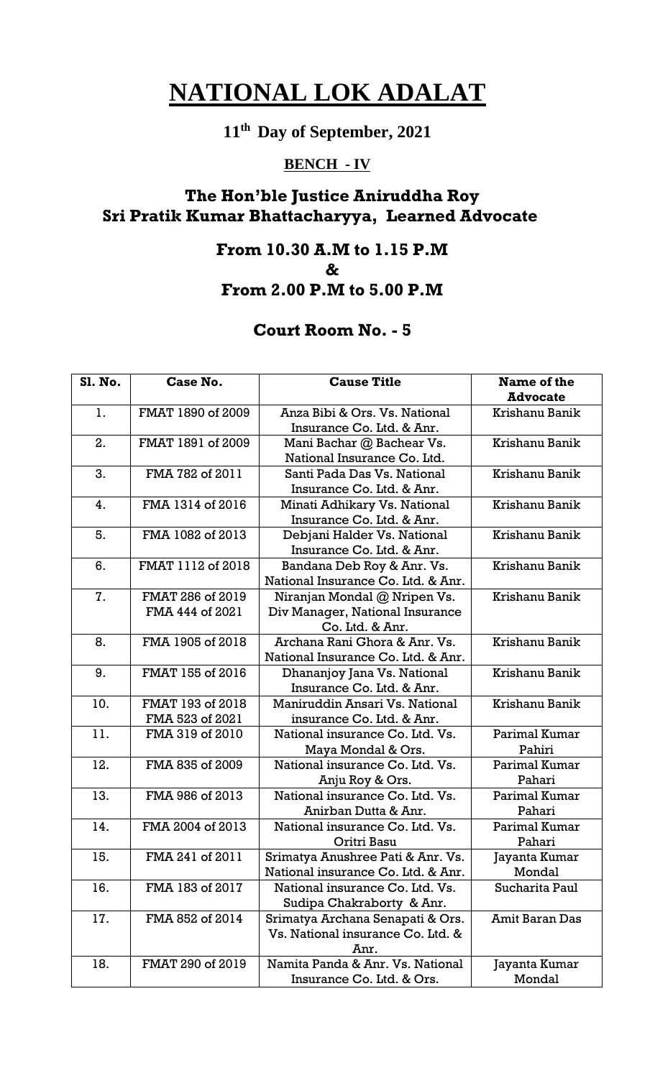# **11th Day of September, 2021**

## **BENCH - IV**

## **The Hon'ble Justice Aniruddha Roy Sri Pratik Kumar Bhattacharyya, Learned Advocate**

#### **From 10.30 A.M to 1.15 P.M**

**&**

## **From 2.00 P.M to 5.00 P.M**

| <b>Sl. No.</b> | Case No.          | <b>Cause Title</b>                 | Name of the           |
|----------------|-------------------|------------------------------------|-----------------------|
|                |                   |                                    | <b>Advocate</b>       |
| 1.             | FMAT 1890 of 2009 | Anza Bibi & Ors. Vs. National      | Krishanu Banik        |
|                |                   | Insurance Co. Ltd. & Anr.          |                       |
| 2.             | FMAT 1891 of 2009 | Mani Bachar @ Bachear Vs.          | Krishanu Banik        |
|                |                   | National Insurance Co. Ltd.        |                       |
| 3.             | FMA 782 of 2011   | Santi Pada Das Vs. National        | Krishanu Banik        |
|                |                   | Insurance Co. Ltd. & Anr.          |                       |
| 4.             | FMA 1314 of 2016  | Minati Adhikary Vs. National       | Krishanu Banik        |
|                |                   | Insurance Co. Ltd. & Anr.          |                       |
| 5.             | FMA 1082 of 2013  | Debjani Halder Vs. National        | Krishanu Banik        |
|                |                   | Insurance Co. Ltd. & Anr.          |                       |
| 6.             | FMAT 1112 of 2018 | Bandana Deb Roy & Anr. Vs.         | Krishanu Banik        |
|                |                   | National Insurance Co. Ltd. & Anr. |                       |
| 7.             | FMAT 286 of 2019  | Niranjan Mondal @ Nripen Vs.       | Krishanu Banik        |
|                | FMA 444 of 2021   | Div Manager, National Insurance    |                       |
|                |                   | Co. Ltd. & Anr.                    |                       |
| 8.             | FMA 1905 of 2018  | Archana Rani Ghora & Anr. Vs.      | Krishanu Banik        |
|                |                   | National Insurance Co. Ltd. & Anr. |                       |
| 9.             | FMAT 155 of 2016  | Dhananjoy Jana Vs. National        | Krishanu Banik        |
|                |                   | Insurance Co. Ltd. & Anr.          |                       |
| 10.            | FMAT 193 of 2018  | Maniruddin Ansari Vs. National     | Krishanu Banik        |
|                | FMA 523 of 2021   | insurance Co. Ltd. & Anr.          |                       |
| 11.            | FMA 319 of 2010   | National insurance Co. Ltd. Vs.    | Parimal Kumar         |
|                |                   | Maya Mondal & Ors.                 | Pahiri                |
| 12.            | FMA 835 of 2009   | National insurance Co. Ltd. Vs.    | Parimal Kumar         |
|                |                   | Anju Roy & Ors.                    | Pahari                |
| 13.            | FMA 986 of 2013   | National insurance Co. Ltd. Vs.    | Parimal Kumar         |
|                |                   | Anirban Dutta & Anr.               | Pahari                |
| 14.            | FMA 2004 of 2013  | National insurance Co. Ltd. Vs.    | Parimal Kumar         |
|                |                   | Oritri Basu                        | Pahari                |
| 15.            | FMA 241 of 2011   | Srimatya Anushree Pati & Anr. Vs.  | Jayanta Kumar         |
|                |                   | National insurance Co. Ltd. & Anr. | Mondal                |
| 16.            | FMA 183 of 2017   | National insurance Co. Ltd. Vs.    | Sucharita Paul        |
|                |                   | Sudipa Chakraborty & Anr.          |                       |
| 17.            | FMA 852 of 2014   | Srimatya Archana Senapati & Ors.   | <b>Amit Baran Das</b> |
|                |                   | Vs. National insurance Co. Ltd. &  |                       |
|                |                   | Anr.                               |                       |
| 18.            | FMAT 290 of 2019  | Namita Panda & Anr. Vs. National   | Jayanta Kumar         |
|                |                   | Insurance Co. Ltd. & Ors.          | Mondal                |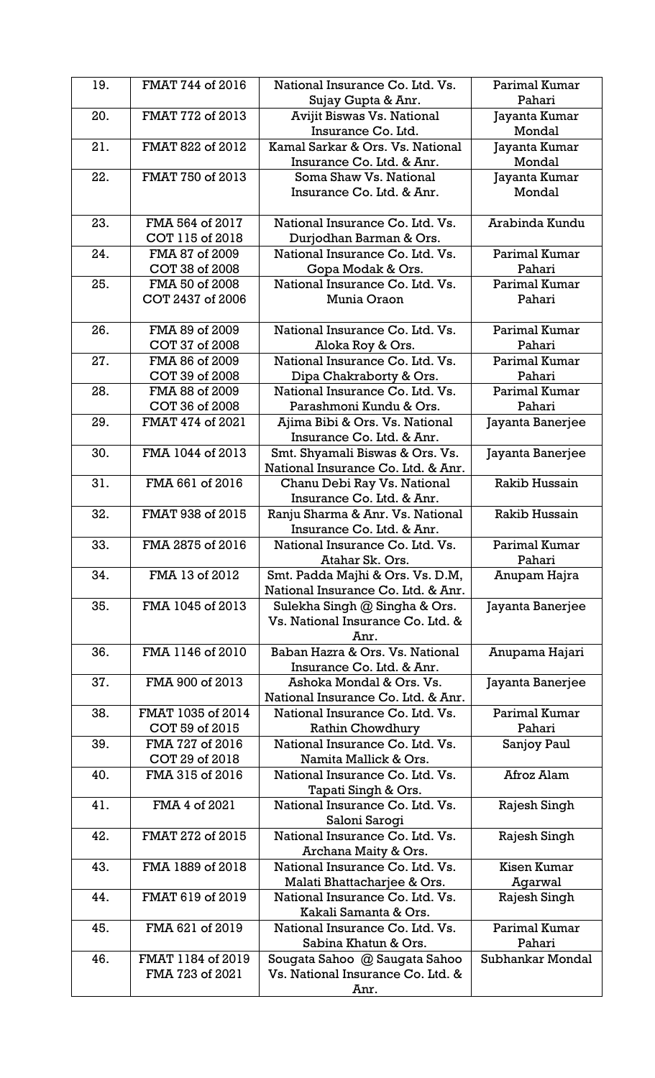| 19. | FMAT 744 of 2016  | National Insurance Co. Ltd. Vs.                               | Parimal Kumar      |
|-----|-------------------|---------------------------------------------------------------|--------------------|
|     |                   | Sujay Gupta & Anr.                                            | Pahari             |
| 20. | FMAT 772 of 2013  | <b>Avijit Biswas Vs. National</b>                             | Jayanta Kumar      |
|     |                   | Insurance Co. Ltd.                                            | Mondal             |
| 21. | FMAT 822 of 2012  | Kamal Sarkar & Ors. Vs. National                              | Jayanta Kumar      |
|     |                   | Insurance Co. Ltd. & Anr.                                     | Mondal             |
| 22. | FMAT 750 of 2013  | Soma Shaw Vs. National                                        | Jayanta Kumar      |
|     |                   | Insurance Co. Ltd. & Anr.                                     | Mondal             |
|     |                   |                                                               |                    |
| 23. | FMA 564 of 2017   | National Insurance Co. Ltd. Vs.                               | Arabinda Kundu     |
|     | COT 115 of 2018   | Durjodhan Barman & Ors.                                       |                    |
| 24. | FMA 87 of 2009    | National Insurance Co. Ltd. Vs.                               | Parimal Kumar      |
|     | COT 38 of 2008    | Gopa Modak & Ors.                                             | Pahari             |
| 25. | FMA 50 of 2008    | National Insurance Co. Ltd. Vs.                               | Parimal Kumar      |
|     | COT 2437 of 2006  | Munia Oraon                                                   | Pahari             |
|     |                   |                                                               |                    |
| 26. | FMA 89 of 2009    | National Insurance Co. Ltd. Vs.                               | Parimal Kumar      |
|     | COT 37 of 2008    | Aloka Roy & Ors.                                              | Pahari             |
| 27. | FMA 86 of 2009    | National Insurance Co. Ltd. Vs.                               | Parimal Kumar      |
|     | COT 39 of 2008    | Dipa Chakraborty & Ors.                                       | Pahari             |
| 28. | FMA 88 of 2009    | National Insurance Co. Ltd. Vs.                               | Parimal Kumar      |
|     | COT 36 of 2008    | Parashmoni Kundu & Ors.                                       | Pahari             |
| 29. | FMAT 474 of 2021  | Ajima Bibi & Ors. Vs. National                                | Jayanta Banerjee   |
|     |                   | Insurance Co. Ltd. & Anr.                                     |                    |
| 30. | FMA 1044 of 2013  | Smt. Shyamali Biswas & Ors. Vs.                               | Jayanta Banerjee   |
|     | FMA 661 of 2016   | National Insurance Co. Ltd. & Anr.                            |                    |
| 31. |                   | Chanu Debi Ray Vs. National                                   | Rakib Hussain      |
| 32. | FMAT 938 of 2015  | Insurance Co. Ltd. & Anr.                                     | Rakib Hussain      |
|     |                   | Ranju Sharma & Anr. Vs. National<br>Insurance Co. Ltd. & Anr. |                    |
| 33. | FMA 2875 of 2016  | National Insurance Co. Ltd. Vs.                               | Parimal Kumar      |
|     |                   |                                                               |                    |
|     |                   |                                                               |                    |
|     |                   | Atahar Sk. Ors.                                               | Pahari             |
| 34. | FMA 13 of 2012    | Smt. Padda Majhi & Ors. Vs. D.M,                              | Anupam Hajra       |
|     |                   | National Insurance Co. Ltd. & Anr.                            |                    |
| 35. | FMA 1045 of 2013  | Sulekha Singh @ Singha & Ors.                                 | Jayanta Banerjee   |
|     |                   | Vs. National Insurance Co. Ltd. &                             |                    |
|     |                   | Anr.                                                          |                    |
| 36. | FMA 1146 of 2010  | Baban Hazra & Ors. Vs. National<br>Insurance Co. Ltd. & Anr.  | Anupama Hajari     |
| 37. | FMA 900 of 2013   | Ashoka Mondal & Ors. Vs.                                      |                    |
|     |                   | National Insurance Co. Ltd. & Anr.                            | Jayanta Banerjee   |
| 38. | FMAT 1035 of 2014 | National Insurance Co. Ltd. Vs.                               | Parimal Kumar      |
|     | COT 59 of 2015    | Rathin Chowdhury                                              | Pahari             |
| 39. | FMA 727 of 2016   | National Insurance Co. Ltd. Vs.                               | Sanjoy Paul        |
|     | COT 29 of 2018    | Namita Mallick & Ors.                                         |                    |
| 40. | FMA 315 of 2016   | National Insurance Co. Ltd. Vs.                               | Afroz Alam         |
|     |                   | Tapati Singh & Ors.                                           |                    |
| 41. | FMA 4 of 2021     | National Insurance Co. Ltd. Vs.                               | Rajesh Singh       |
|     |                   | Saloni Sarogi                                                 |                    |
| 42. | FMAT 272 of 2015  | National Insurance Co. Ltd. Vs.                               | Rajesh Singh       |
|     |                   | Archana Maity & Ors.                                          |                    |
| 43. | FMA 1889 of 2018  | National Insurance Co. Ltd. Vs.                               | <b>Kisen Kumar</b> |
|     |                   | Malati Bhattacharjee & Ors.                                   | Agarwal            |
| 44. | FMAT 619 of 2019  | National Insurance Co. Ltd. Vs.                               | Rajesh Singh       |
|     |                   | Kakali Samanta & Ors.                                         |                    |
| 45. | FMA 621 of 2019   | National Insurance Co. Ltd. Vs.                               | Parimal Kumar      |
|     |                   | Sabina Khatun & Ors.                                          | Pahari             |
| 46. | FMAT 1184 of 2019 | Sougata Sahoo @ Saugata Sahoo                                 | Subhankar Mondal   |
|     | FMA 723 of 2021   | Vs. National Insurance Co. Ltd. &<br>Anr.                     |                    |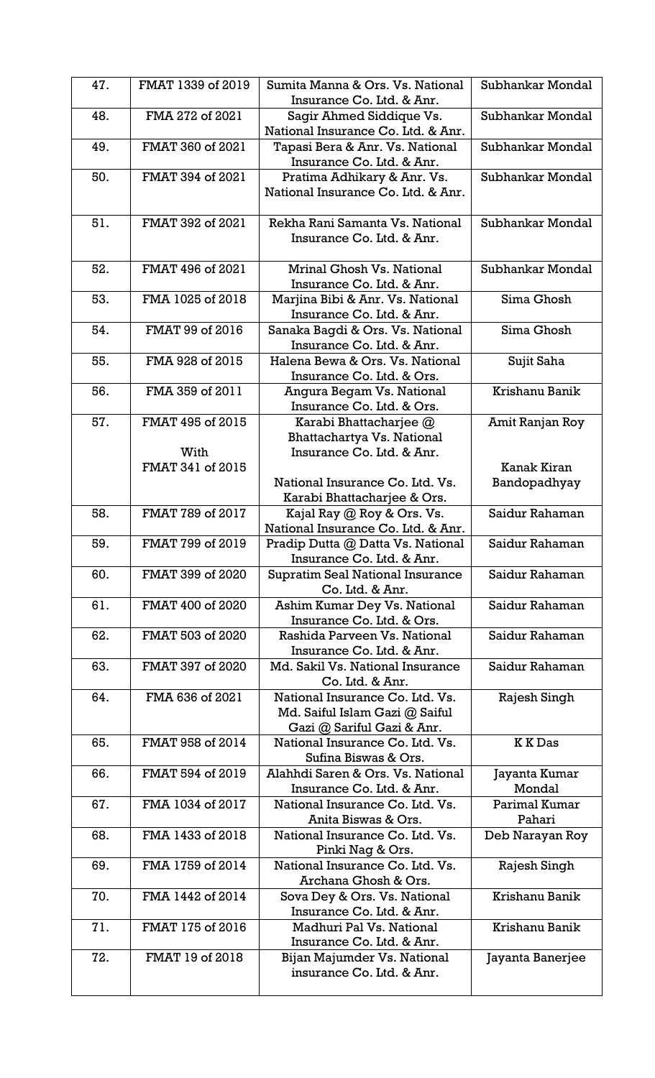| 47. | FMAT 1339 of 2019        | Sumita Manna & Ors. Vs. National<br>Insurance Co. Ltd. & Anr.                                   | Subhankar Mondal            |
|-----|--------------------------|-------------------------------------------------------------------------------------------------|-----------------------------|
| 48. | FMA 272 of 2021          | Sagir Ahmed Siddique Vs.<br>National Insurance Co. Ltd. & Anr.                                  | Subhankar Mondal            |
| 49. | FMAT 360 of 2021         | Tapasi Bera & Anr. Vs. National<br>Insurance Co. Ltd. & Anr.                                    | Subhankar Mondal            |
| 50. | FMAT 394 of 2021         | Pratima Adhikary & Anr. Vs.<br>National Insurance Co. Ltd. & Anr.                               | Subhankar Mondal            |
| 51. | FMAT 392 of 2021         | Rekha Rani Samanta Vs. National<br>Insurance Co. Ltd. & Anr.                                    | Subhankar Mondal            |
| 52. | FMAT 496 of 2021         | <b>Mrinal Ghosh Vs. National</b><br>Insurance Co. Ltd. & Anr.                                   | Subhankar Mondal            |
| 53. | FMA 1025 of 2018         | Marjina Bibi & Anr. Vs. National<br>Insurance Co. Ltd. & Anr.                                   | Sima Ghosh                  |
| 54. | FMAT 99 of 2016          | Sanaka Bagdi & Ors. Vs. National<br>Insurance Co. Ltd. & Anr.                                   | Sima Ghosh                  |
| 55. | FMA 928 of 2015          | Halena Bewa & Ors. Vs. National<br>Insurance Co. Ltd. & Ors.                                    | Sujit Saha                  |
| 56. | FMA 359 of 2011          | Angura Begam Vs. National<br>Insurance Co. Ltd. & Ors.                                          | Krishanu Banik              |
| 57. | FMAT 495 of 2015<br>With | Karabi Bhattacharjee @<br>Bhattachartya Vs. National<br>Insurance Co. Ltd. & Anr.               | Amit Ranjan Roy             |
|     | FMAT 341 of 2015         | National Insurance Co. Ltd. Vs.<br>Karabi Bhattacharjee & Ors.                                  | Kanak Kiran<br>Bandopadhyay |
| 58. | FMAT 789 of 2017         | Kajal Ray @ Roy & Ors. Vs.<br>National Insurance Co. Ltd. & Anr.                                | Saidur Rahaman              |
| 59. | FMAT 799 of 2019         | Pradip Dutta @ Datta Vs. National<br>Insurance Co. Ltd. & Anr.                                  | Saidur Rahaman              |
| 60. | FMAT 399 of 2020         | <b>Supratim Seal National Insurance</b><br>Co. Ltd. & Anr.                                      | Saidur Rahaman              |
| 61. | FMAT 400 of 2020         | Ashim Kumar Dey Vs. National<br>Insurance Co. Ltd. & Ors.                                       | Saidur Rahaman              |
| 62. | FMAT 503 of 2020         | Rashida Parveen Vs. National<br>Insurance Co. Ltd. & Anr.                                       | Saidur Rahaman              |
| 63. | FMAT 397 of 2020         | Md. Sakil Vs. National Insurance<br>Co. Ltd. & Anr.                                             | Saidur Rahaman              |
| 64. | FMA 636 of 2021          | National Insurance Co. Ltd. Vs.<br>Md. Saiful Islam Gazi @ Saiful<br>Gazi @ Sariful Gazi & Anr. | Rajesh Singh                |
| 65. | FMAT 958 of 2014         | National Insurance Co. Ltd. Vs.<br>Sufina Biswas & Ors.                                         | <b>KKDas</b>                |
| 66. | FMAT 594 of 2019         | Alahhdi Saren & Ors. Vs. National<br>Insurance Co. Ltd. & Anr.                                  | Jayanta Kumar<br>Mondal     |
| 67. | FMA 1034 of 2017         | National Insurance Co. Ltd. Vs.<br>Anita Biswas & Ors.                                          | Parimal Kumar<br>Pahari     |
| 68. | FMA 1433 of 2018         | National Insurance Co. Ltd. Vs.<br>Pinki Nag & Ors.                                             | Deb Narayan Roy             |
| 69. | FMA 1759 of 2014         | National Insurance Co. Ltd. Vs.<br>Archana Ghosh & Ors.                                         | Rajesh Singh                |
| 70. | FMA 1442 of 2014         | Sova Dey & Ors. Vs. National<br>Insurance Co. Ltd. & Anr.                                       | Krishanu Banik              |
| 71. | FMAT 175 of 2016         | Madhuri Pal Vs. National<br>Insurance Co. Ltd. & Anr.                                           | Krishanu Banik              |
| 72. | FMAT 19 of 2018          | Bijan Majumder Vs. National<br>insurance Co. Ltd. & Anr.                                        | Jayanta Banerjee            |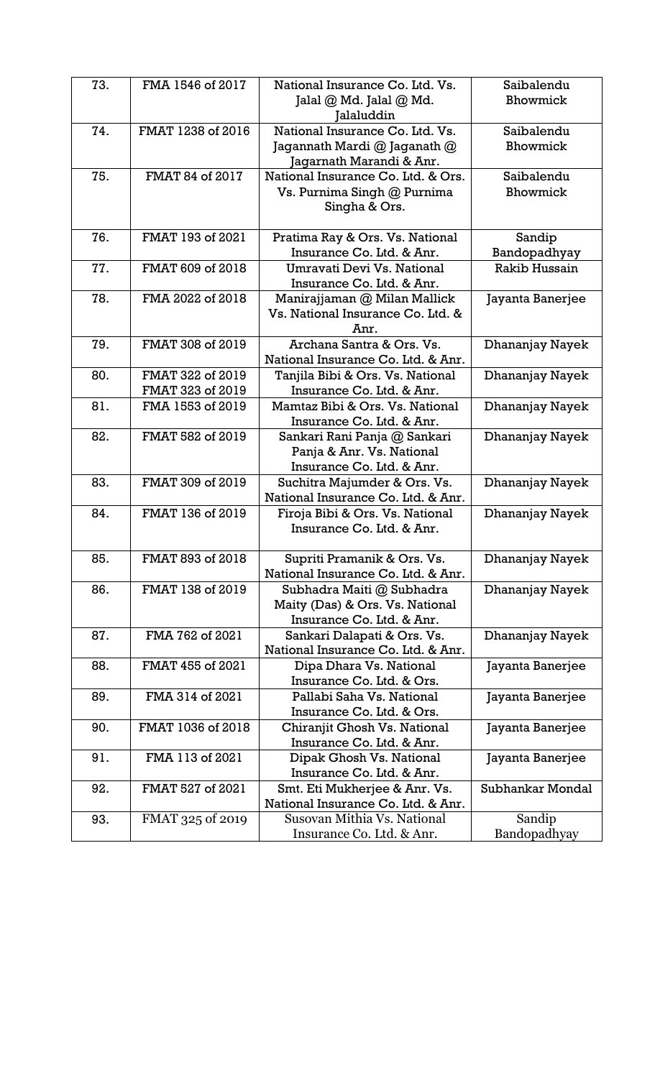| 73. | FMA 1546 of 2017  | National Insurance Co. Ltd. Vs.                                     | Saibalendu       |
|-----|-------------------|---------------------------------------------------------------------|------------------|
|     |                   | Jalal @ Md. Jalal @ Md.                                             | Bhowmick         |
|     |                   | alaluddin                                                           |                  |
| 74. | FMAT 1238 of 2016 | National Insurance Co. Ltd. Vs.                                     | Saibalendu       |
|     |                   | Jagannath Mardi @ Jaganath @                                        | Bhowmick         |
|     |                   | Jagarnath Marandi & Anr.                                            |                  |
| 75. | FMAT 84 of 2017   | National Insurance Co. Ltd. & Ors.                                  | Saibalendu       |
|     |                   | Vs. Purnima Singh @ Purnima                                         | Bhowmick         |
|     |                   | Singha & Ors.                                                       |                  |
|     |                   |                                                                     |                  |
| 76. | FMAT 193 of 2021  | Pratima Ray & Ors. Vs. National                                     | Sandip           |
|     |                   | Insurance Co. Ltd. & Anr.                                           | Bandopadhyay     |
| 77. | FMAT 609 of 2018  | Umravati Devi Vs. National                                          | Rakib Hussain    |
|     |                   | Insurance Co. Ltd. & Anr.                                           |                  |
| 78. | FMA 2022 of 2018  | Manirajjaman @ Milan Mallick                                        | Jayanta Banerjee |
|     |                   | Vs. National Insurance Co. Ltd. &                                   |                  |
|     |                   | Anr.                                                                |                  |
| 79. | FMAT 308 of 2019  | Archana Santra & Ors. Vs.                                           | Dhananjay Nayek  |
|     |                   | National Insurance Co. Ltd. & Anr.                                  |                  |
| 80. | FMAT 322 of 2019  | Tanjila Bibi & Ors. Vs. National                                    | Dhananjay Nayek  |
|     | FMAT 323 of 2019  | Insurance Co. Ltd. & Anr.                                           |                  |
| 81. | FMA 1553 of 2019  | Mamtaz Bibi & Ors. Vs. National                                     | Dhananjay Nayek  |
|     |                   | Insurance Co. Ltd. & Anr.                                           |                  |
| 82. | FMAT 582 of 2019  | Sankari Rani Panja @ Sankari                                        | Dhananjay Nayek  |
|     |                   | Panja & Anr. Vs. National                                           |                  |
|     |                   | Insurance Co. Ltd. & Anr.                                           |                  |
| 83. | FMAT 309 of 2019  | Suchitra Majumder & Ors. Vs.                                        | Dhananjay Nayek  |
|     |                   | National Insurance Co. Ltd. & Anr.                                  |                  |
| 84. | FMAT 136 of 2019  | Firoja Bibi & Ors. Vs. National                                     | Dhananjay Nayek  |
|     |                   | Insurance Co. Ltd. & Anr.                                           |                  |
|     |                   |                                                                     |                  |
| 85. | FMAT 893 of 2018  | Supriti Pramanik & Ors. Vs.                                         | Dhananjay Nayek  |
|     |                   | National Insurance Co. Ltd. & Anr.                                  |                  |
| 86. | FMAT 138 of 2019  | Subhadra Maiti @ Subhadra                                           | Dhananjay Nayek  |
|     |                   | Maity (Das) & Ors. Vs. National                                     |                  |
|     |                   | Insurance Co. Ltd. & Anr.                                           |                  |
| 87. | FMA 762 of 2021   | Sankari Dalapati & Ors. Vs.                                         | Dhananjay Nayek  |
|     |                   | National Insurance Co. Ltd. & Anr.                                  |                  |
| 88. | FMAT 455 of 2021  | Dipa Dhara Vs. National                                             | Jayanta Banerjee |
|     |                   | Insurance Co. Ltd. & Ors.                                           |                  |
| 89. | FMA 314 of 2021   | Pallabi Saha Vs. National                                           | Jayanta Banerjee |
|     |                   | Insurance Co. Ltd. & Ors.                                           |                  |
| 90. | FMAT 1036 of 2018 | Chiranjit Ghosh Vs. National                                        | Jayanta Banerjee |
|     |                   | Insurance Co. Ltd. & Anr.                                           |                  |
| 91. | FMA 113 of 2021   | Dipak Ghosh Vs. National                                            | Jayanta Banerjee |
|     | FMAT 527 of 2021  | Insurance Co. Ltd. & Anr.                                           | Subhankar Mondal |
| 92. |                   | Smt. Eti Mukherjee & Anr. Vs.<br>National Insurance Co. Ltd. & Anr. |                  |
| 93. | FMAT 325 of 2019  | Susovan Mithia Vs. National                                         | Sandip           |
|     |                   | Insurance Co. Ltd. & Anr.                                           | Bandopadhyay     |
|     |                   |                                                                     |                  |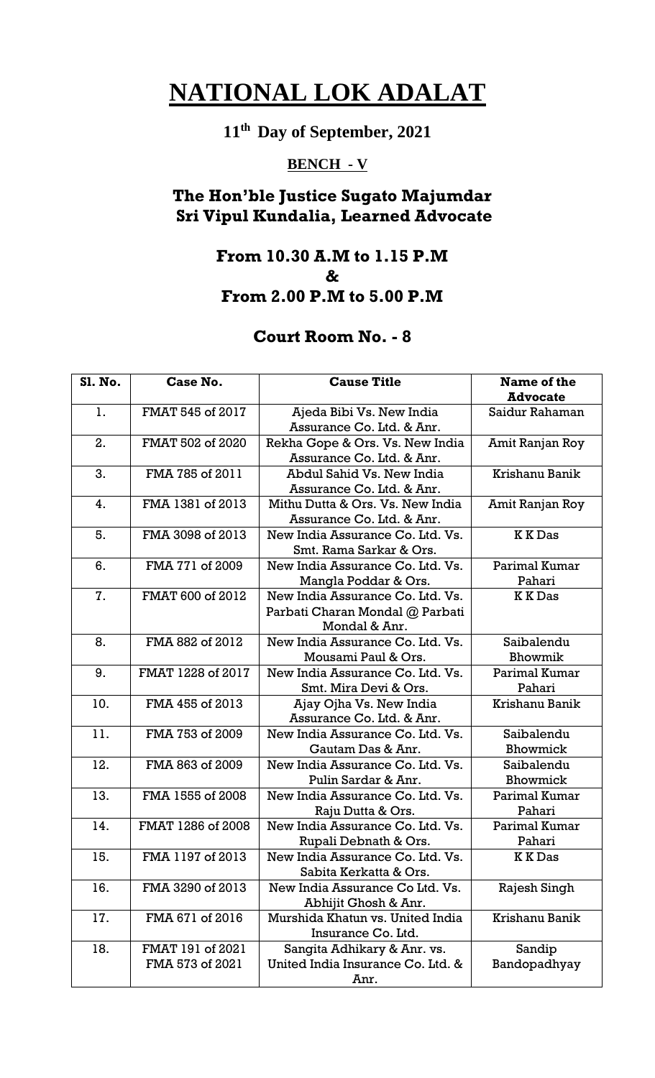# **11th Day of September, 2021**

## **BENCH - V**

## **The Hon'ble Justice Sugato Majumdar Sri Vipul Kundalia, Learned Advocate**

## **From 10.30 A.M to 1.15 P.M & From 2.00 P.M to 5.00 P.M**

| <b>Sl. No.</b> | Case No.                            | <b>Cause Title</b>                                                                   | Name of the<br><b>Advocate</b> |
|----------------|-------------------------------------|--------------------------------------------------------------------------------------|--------------------------------|
| 1.             | FMAT 545 of 2017                    | Ajeda Bibi Vs. New India<br>Assurance Co. Ltd. & Anr.                                | Saidur Rahaman                 |
| 2.             | FMAT 502 of 2020                    | Rekha Gope & Ors. Vs. New India<br>Assurance Co. Ltd. & Anr.                         | Amit Ranjan Roy                |
| 3.             | FMA 785 of 2011                     | Abdul Sahid Vs. New India<br>Assurance Co. Ltd. & Anr.                               | Krishanu Banik                 |
| 4.             | FMA 1381 of 2013                    | Mithu Dutta & Ors. Vs. New India<br>Assurance Co. Ltd. & Anr.                        | Amit Ranjan Roy                |
| 5.             | FMA 3098 of 2013                    | New India Assurance Co. Ltd. Vs.<br>Smt. Rama Sarkar & Ors.                          | <b>KKDas</b>                   |
| 6.             | FMA 771 of 2009                     | New India Assurance Co. Ltd. Vs.<br>Mangla Poddar & Ors.                             | Parimal Kumar<br>Pahari        |
| 7.             | FMAT 600 of 2012                    | New India Assurance Co. Ltd. Vs.<br>Parbati Charan Mondal @ Parbati<br>Mondal & Anr. | <b>KKDas</b>                   |
| 8.             | FMA 882 of 2012                     | New India Assurance Co. Ltd. Vs.<br>Mousami Paul & Ors.                              | Saibalendu<br>Bhowmik          |
| 9.             | FMAT 1228 of 2017                   | New India Assurance Co. Ltd. Vs.<br>Smt. Mira Devi & Ors.                            | Parimal Kumar<br>Pahari        |
| 10.            | FMA 455 of 2013                     | Ajay Ojha Vs. New India<br>Assurance Co. Ltd. & Anr.                                 | Krishanu Banik                 |
| 11.            | FMA 753 of 2009                     | New India Assurance Co. Ltd. Vs.<br>Gautam Das & Anr.                                | Saibalendu<br>Bhowmick         |
| 12.            | FMA 863 of 2009                     | New India Assurance Co. Ltd. Vs.<br>Pulin Sardar & Anr.                              | Saibalendu<br>Bhowmick         |
| 13.            | FMA 1555 of 2008                    | New India Assurance Co. Ltd. Vs.<br>Raju Dutta & Ors.                                | Parimal Kumar<br>Pahari        |
| 14.            | FMAT 1286 of 2008                   | New India Assurance Co. Ltd. Vs.<br>Rupali Debnath & Ors.                            | Parimal Kumar<br>Pahari        |
| 15.            | FMA 1197 of 2013                    | New India Assurance Co. Ltd. Vs.<br>Sabita Kerkatta & Ors.                           | <b>KKDas</b>                   |
| 16.            | FMA 3290 of 2013                    | New India Assurance Co Ltd. Vs.<br>Abhijit Ghosh & Anr.                              | Rajesh Singh                   |
| 17.            | FMA 671 of 2016                     | Murshida Khatun vs. United India<br>Insurance Co. Ltd.                               | Krishanu Banik                 |
| 18.            | FMAT 191 of 2021<br>FMA 573 of 2021 | Sangita Adhikary & Anr. vs.<br>United India Insurance Co. Ltd. &<br>Anr.             | Sandip<br>Bandopadhyay         |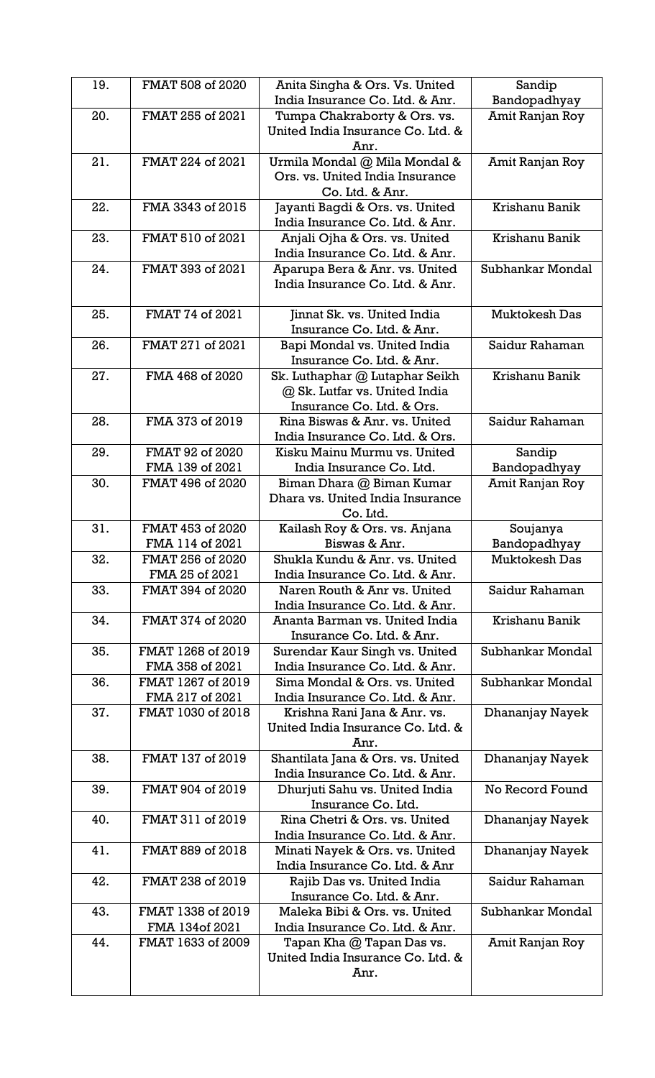| 19. | FMAT 508 of 2020                     | Anita Singha & Ors. Vs. United<br>India Insurance Co. Ltd. & Anr.                            | Sandip<br>Bandopadhyay   |
|-----|--------------------------------------|----------------------------------------------------------------------------------------------|--------------------------|
| 20. | FMAT 255 of 2021                     | Tumpa Chakraborty & Ors. vs.<br>United India Insurance Co. Ltd. &                            | Amit Ranjan Roy          |
| 21. | FMAT 224 of 2021                     | Anr.<br>Urmila Mondal @ Mila Mondal &<br>Ors. vs. United India Insurance<br>Co. Ltd. & Anr.  | Amit Ranjan Roy          |
| 22. | FMA 3343 of 2015                     | Jayanti Bagdi & Ors. vs. United<br>India Insurance Co. Ltd. & Anr.                           | Krishanu Banik           |
| 23. | FMAT 510 of 2021                     | Anjali Ojha & Ors. vs. United<br>India Insurance Co. Ltd. & Anr.                             | Krishanu Banik           |
| 24. | FMAT 393 of 2021                     | Aparupa Bera & Anr. vs. United<br>India Insurance Co. Ltd. & Anr.                            | Subhankar Mondal         |
| 25. | FMAT 74 of 2021                      | Jinnat Sk. vs. United India<br>Insurance Co. Ltd. & Anr.                                     | <b>Muktokesh Das</b>     |
| 26. | FMAT 271 of 2021                     | Bapi Mondal vs. United India<br>Insurance Co. Ltd. & Anr.                                    | Saidur Rahaman           |
| 27. | FMA 468 of 2020                      | Sk. Luthaphar @ Lutaphar Seikh<br>@ Sk. Lutfar vs. United India<br>Insurance Co. Ltd. & Ors. | Krishanu Banik           |
| 28. | FMA 373 of 2019                      | Rina Biswas & Anr. vs. United<br>India Insurance Co. Ltd. & Ors.                             | Saidur Rahaman           |
| 29. | FMAT 92 of 2020<br>FMA 139 of 2021   | Kisku Mainu Murmu vs. United<br>India Insurance Co. Ltd.                                     | Sandip<br>Bandopadhyay   |
| 30. | FMAT 496 of 2020                     | Biman Dhara @ Biman Kumar<br>Dhara vs. United India Insurance<br>Co. Ltd.                    | Amit Ranjan Roy          |
| 31. | FMAT 453 of 2020<br>FMA 114 of 2021  | Kailash Roy & Ors. vs. Anjana<br>Biswas & Anr.                                               | Soujanya<br>Bandopadhyay |
| 32. | FMAT 256 of 2020<br>FMA 25 of 2021   | Shukla Kundu & Anr. vs. United<br>India Insurance Co. Ltd. & Anr.                            | <b>Muktokesh Das</b>     |
| 33. | FMAT 394 of 2020                     | Naren Routh & Anr vs. United<br>India Insurance Co. Ltd. & Anr.                              | Saidur Rahaman           |
| 34. | FMAT 374 of 2020                     | Ananta Barman vs. United India<br>Insurance Co. Ltd. & Anr.                                  | Krishanu Banik           |
| 35. | FMAT 1268 of 2019<br>FMA 358 of 2021 | Surendar Kaur Singh vs. United<br>India Insurance Co. Ltd. & Anr.                            | Subhankar Mondal         |
| 36. | FMAT 1267 of 2019<br>FMA 217 of 2021 | Sima Mondal & Ors. vs. United<br>India Insurance Co. Ltd. & Anr.                             | Subhankar Mondal         |
| 37. | FMAT 1030 of 2018                    | Krishna Rani Jana & Anr. vs.<br>United India Insurance Co. Ltd. &<br>Anr.                    | Dhananjay Nayek          |
| 38. | FMAT 137 of 2019                     | Shantilata Jana & Ors. vs. United<br>India Insurance Co. Ltd. & Anr.                         | Dhananjay Nayek          |
| 39. | FMAT 904 of 2019                     | Dhurjuti Sahu vs. United India<br>Insurance Co. Ltd.                                         | No Record Found          |
| 40. | FMAT 311 of 2019                     | Rina Chetri & Ors. vs. United<br>India Insurance Co. Ltd. & Anr.                             | Dhananjay Nayek          |
| 41. | FMAT 889 of 2018                     | Minati Nayek & Ors. vs. United<br>India Insurance Co. Ltd. & Anr                             | Dhananjay Nayek          |
| 42. | FMAT 238 of 2019                     | Rajib Das vs. United India<br>Insurance Co. Ltd. & Anr.                                      | Saidur Rahaman           |
| 43. | FMAT 1338 of 2019<br>FMA 134of 2021  | Maleka Bibi & Ors. vs. United<br>India Insurance Co. Ltd. & Anr.                             | Subhankar Mondal         |
| 44. | FMAT 1633 of 2009                    | Tapan Kha @ Tapan Das vs.<br>United India Insurance Co. Ltd. &<br>Anr.                       | Amit Ranjan Roy          |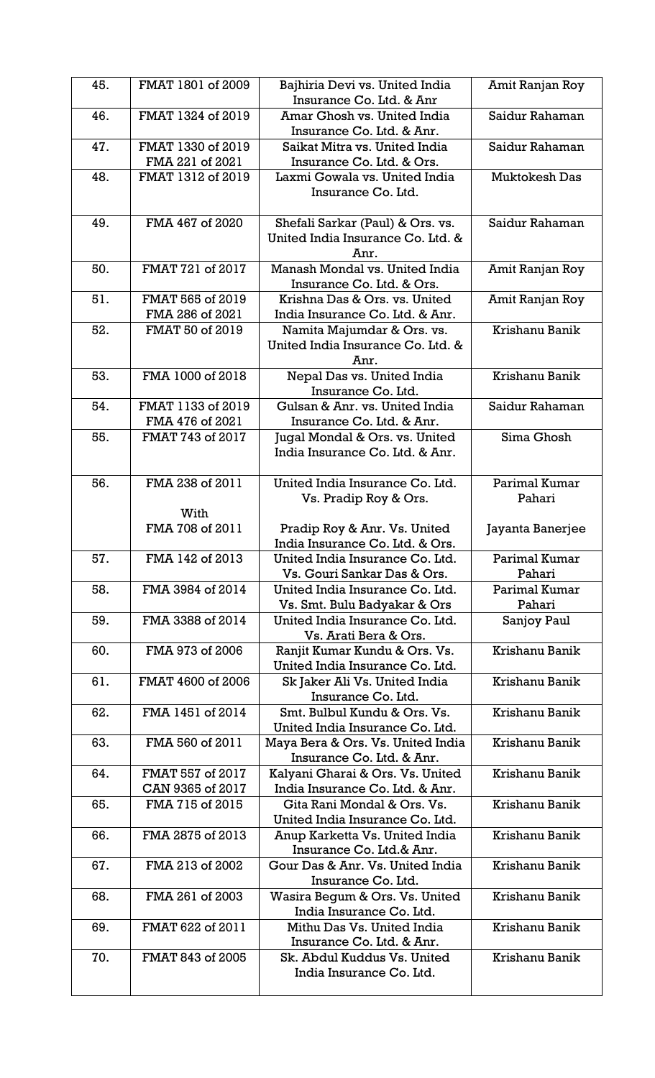| 45. | FMAT 1801 of 2009                    | Bajhiria Devi vs. United India<br>Insurance Co. Ltd. & Anr                       | Amit Ranjan Roy         |
|-----|--------------------------------------|----------------------------------------------------------------------------------|-------------------------|
| 46. | FMAT 1324 of 2019                    | Amar Ghosh vs. United India<br>Insurance Co. Ltd. & Anr.                         | Saidur Rahaman          |
| 47. | FMAT 1330 of 2019                    | Saikat Mitra vs. United India                                                    | Saidur Rahaman          |
| 48. | FMA 221 of 2021<br>FMAT 1312 of 2019 | Insurance Co. Ltd. & Ors.<br>Laxmi Gowala vs. United India<br>Insurance Co. Ltd. | <b>Muktokesh Das</b>    |
| 49. | FMA 467 of 2020                      | Shefali Sarkar (Paul) & Ors. vs.<br>United India Insurance Co. Ltd. &<br>Anr.    | Saidur Rahaman          |
| 50. | FMAT 721 of 2017                     | Manash Mondal vs. United India<br>Insurance Co. Ltd. & Ors.                      | Amit Ranjan Roy         |
| 51. | FMAT 565 of 2019<br>FMA 286 of 2021  | Krishna Das & Ors. vs. United<br>India Insurance Co. Ltd. & Anr.                 | Amit Ranjan Roy         |
| 52. | FMAT 50 of 2019                      | Namita Majumdar & Ors. vs.<br>United India Insurance Co. Ltd. &<br>Anr.          | Krishanu Banik          |
| 53. | FMA 1000 of 2018                     | Nepal Das vs. United India<br>Insurance Co. Ltd.                                 | Krishanu Banik          |
| 54. | FMAT 1133 of 2019<br>FMA 476 of 2021 | Gulsan & Anr. vs. United India<br>Insurance Co. Ltd. & Anr.                      | Saidur Rahaman          |
| 55. | FMAT 743 of 2017                     | Jugal Mondal & Ors. vs. United<br>India Insurance Co. Ltd. & Anr.                | Sima Ghosh              |
| 56. | FMA 238 of 2011<br>With              | United India Insurance Co. Ltd.<br>Vs. Pradip Roy & Ors.                         | Parimal Kumar<br>Pahari |
|     | FMA 708 of 2011                      | Pradip Roy & Anr. Vs. United<br>India Insurance Co. Ltd. & Ors.                  | Jayanta Banerjee        |
| 57. | FMA 142 of 2013                      | United India Insurance Co. Ltd.<br>Vs. Gouri Sankar Das & Ors.                   | Parimal Kumar<br>Pahari |
| 58. | FMA 3984 of 2014                     | United India Insurance Co. Ltd.<br>Vs. Smt. Bulu Badyakar & Ors                  | Parimal Kumar<br>Pahari |
| 59. | FMA 3388 of 2014                     | United India Insurance Co. Ltd.<br>Vs. Arati Bera & Ors.                         | Sanjoy Paul             |
| 60. | FMA 973 of 2006                      | Ranjit Kumar Kundu & Ors. Vs.<br>United India Insurance Co. Ltd.                 | Krishanu Banik          |
| 61. | FMAT 4600 of 2006                    | Sk Jaker Ali Vs. United India<br>Insurance Co. Ltd.                              | Krishanu Banik          |
| 62. | FMA 1451 of 2014                     | Smt. Bulbul Kundu & Ors. Vs.<br>United India Insurance Co. Ltd.                  | Krishanu Banik          |
| 63. | FMA 560 of 2011                      | Maya Bera & Ors. Vs. United India<br>Insurance Co. Ltd. & Anr.                   | Krishanu Banik          |
| 64. | FMAT 557 of 2017<br>CAN 9365 of 2017 | Kalyani Gharai & Ors. Vs. United<br>India Insurance Co. Ltd. & Anr.              | Krishanu Banik          |
| 65. | FMA 715 of 2015                      | Gita Rani Mondal & Ors. Vs.<br>United India Insurance Co. Ltd.                   | Krishanu Banik          |
| 66. | FMA 2875 of 2013                     | Anup Karketta Vs. United India<br>Insurance Co. Ltd.& Anr.                       | Krishanu Banik          |
| 67. | FMA 213 of 2002                      | Gour Das & Anr. Vs. United India<br>Insurance Co. Ltd.                           | Krishanu Banik          |
| 68. | FMA 261 of 2003                      | Wasira Begum & Ors. Vs. United<br>India Insurance Co. Ltd.                       | Krishanu Banik          |
| 69. | FMAT 622 of 2011                     | Mithu Das Vs. United India<br>Insurance Co. Ltd. & Anr.                          | Krishanu Banik          |
| 70. | FMAT 843 of 2005                     | Sk. Abdul Kuddus Vs. United<br>India Insurance Co. Ltd.                          | Krishanu Banik          |